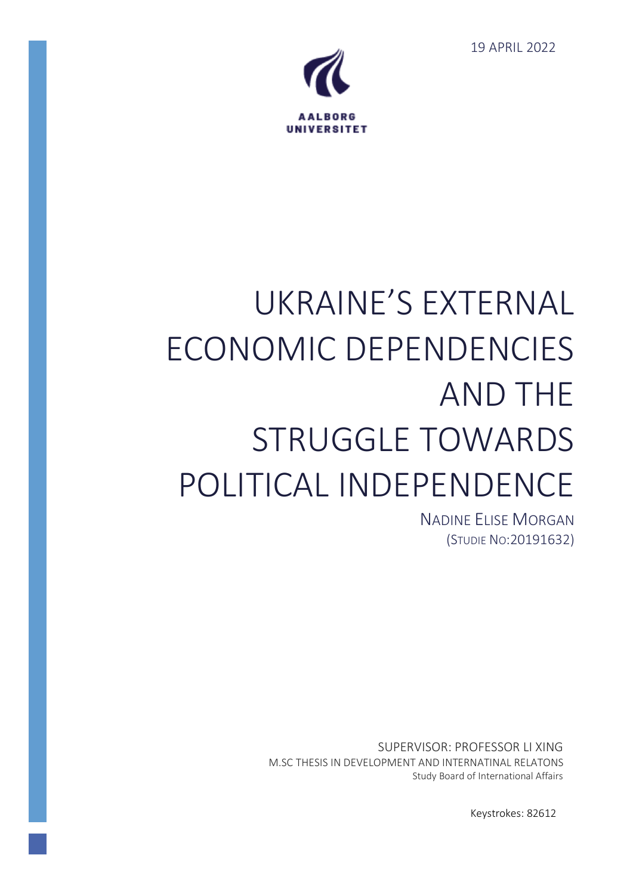19 APRIL 2022



# UKRAINE'S EXTERNAL ECONOMIC DEPENDENCIES AND THE STRUGGLE TOWARDS POLITICAL INDEPENDENCE

NADINE ELISE MORGAN (STUDIE NO:20191632)

SUPERVISOR: PROFESSOR LI XING M.SC THESIS IN DEVELOPMENT AND INTERNATINAL RELATONS Study Board of International Affairs

Keystrokes: 82612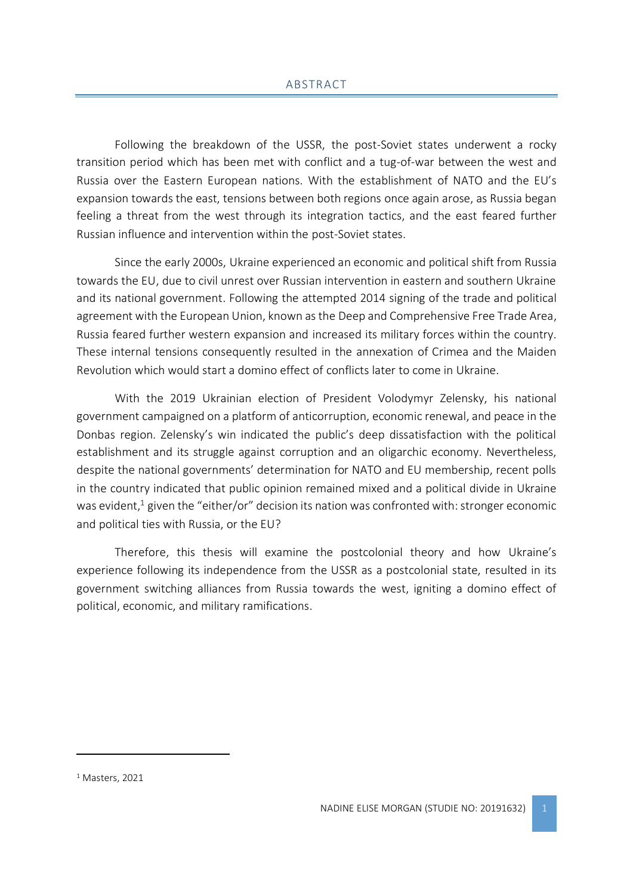<span id="page-1-0"></span>Following the breakdown of the USSR, the post-Soviet states underwent a rocky transition period which has been met with conflict and a tug-of-war between the west and Russia over the Eastern European nations. With the establishment of NATO and the EU's expansion towards the east, tensions between both regions once again arose, as Russia began feeling a threat from the west through its integration tactics, and the east feared further Russian influence and intervention within the post-Soviet states.

Since the early 2000s, Ukraine experienced an economic and political shift from Russia towards the EU, due to civil unrest over Russian intervention in eastern and southern Ukraine and its national government. Following the attempted 2014 signing of the trade and political agreement with the European Union, known as the Deep and Comprehensive Free Trade Area, Russia feared further western expansion and increased its military forces within the country. These internal tensions consequently resulted in the annexation of Crimea and the Maiden Revolution which would start a domino effect of conflicts later to come in Ukraine.

With the 2019 Ukrainian election of President Volodymyr Zelensky, his national government campaigned on a platform of anticorruption, economic renewal, and peace in the Donbas region. Zelensky's win indicated the public's deep dissatisfaction with the political establishment and its struggle against corruption and an oligarchic economy. Nevertheless, despite the national governments' determination for NATO and EU membership, recent polls in the country indicated that public opinion remained mixed and a political divide in Ukraine was evident,<sup>1</sup> given the "either/or" decision its nation was confronted with: stronger economic and political ties with Russia, or the EU?

Therefore, this thesis will examine the postcolonial theory and how Ukraine's experience following its independence from the USSR as a postcolonial state, resulted in its government switching alliances from Russia towards the west, igniting a domino effect of political, economic, and military ramifications.

<sup>1</sup> Masters, 2021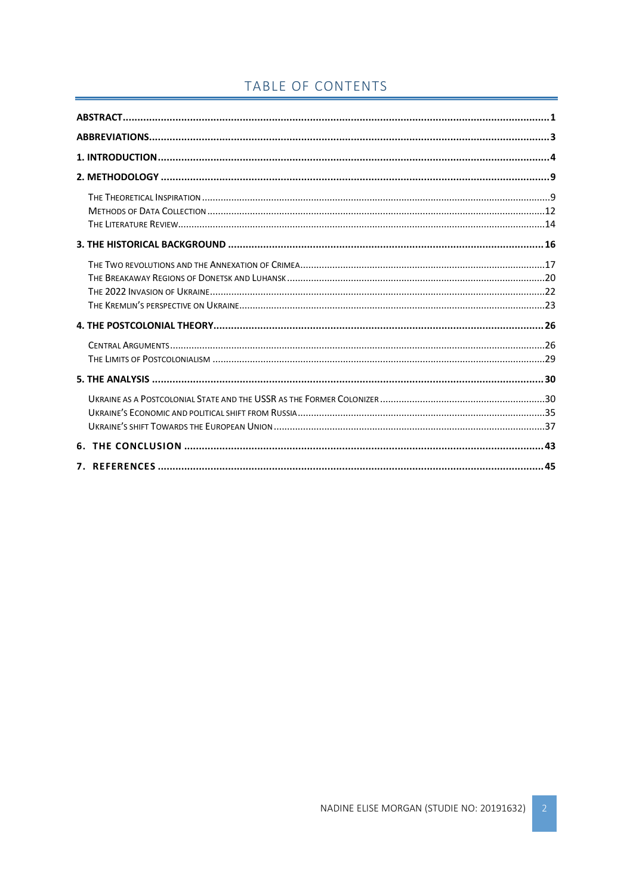# TABLE OF CONTENTS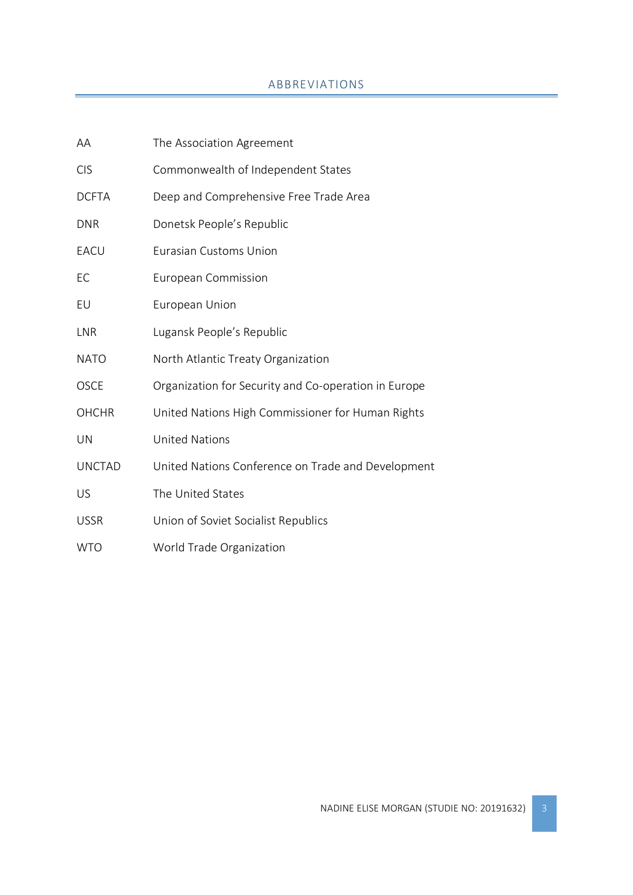# ABBREVIATIONS

<span id="page-3-0"></span>

| AA            | The Association Agreement                            |
|---------------|------------------------------------------------------|
| <b>CIS</b>    | Commonwealth of Independent States                   |
| <b>DCFTA</b>  | Deep and Comprehensive Free Trade Area               |
| <b>DNR</b>    | Donetsk People's Republic                            |
| EACU          | <b>Eurasian Customs Union</b>                        |
| EC            | European Commission                                  |
| EU            | European Union                                       |
| <b>LNR</b>    | Lugansk People's Republic                            |
| <b>NATO</b>   | North Atlantic Treaty Organization                   |
| <b>OSCE</b>   | Organization for Security and Co-operation in Europe |
| <b>OHCHR</b>  | United Nations High Commissioner for Human Rights    |
| UN            | <b>United Nations</b>                                |
| <b>UNCTAD</b> | United Nations Conference on Trade and Development   |
| US            | The United States                                    |
| <b>USSR</b>   | Union of Soviet Socialist Republics                  |
| <b>WTO</b>    | World Trade Organization                             |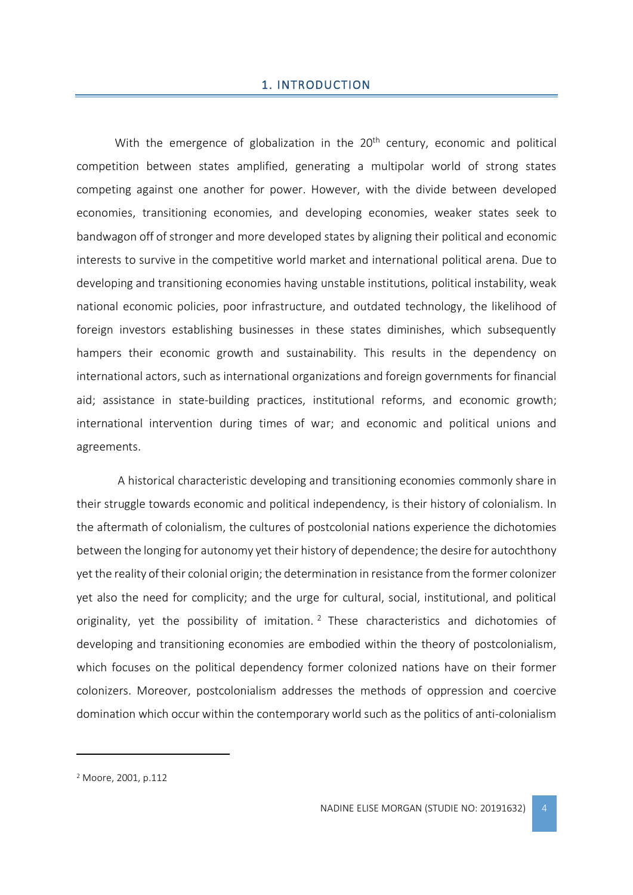#### 1. INTRODUCTION

<span id="page-4-0"></span>With the emergence of globalization in the  $20<sup>th</sup>$  century, economic and political competition between states amplified, generating a multipolar world of strong states competing against one another for power. However, with the divide between developed economies, transitioning economies, and developing economies, weaker states seek to bandwagon off of stronger and more developed states by aligning their political and economic interests to survive in the competitive world market and international political arena. Due to developing and transitioning economies having unstable institutions, political instability, weak national economic policies, poor infrastructure, and outdated technology, the likelihood of foreign investors establishing businesses in these states diminishes, which subsequently hampers their economic growth and sustainability. This results in the dependency on international actors, such as international organizations and foreign governments for financial aid; assistance in state-building practices, institutional reforms, and economic growth; international intervention during times of war; and economic and political unions and agreements.

A historical characteristic developing and transitioning economies commonly share in their struggle towards economic and political independency, is their history of colonialism. In the aftermath of colonialism, the cultures of postcolonial nations experience the dichotomies between the longing for autonomy yet their history of dependence; the desire for autochthony yet the reality of their colonial origin; the determination in resistance from the former colonizer yet also the need for complicity; and the urge for cultural, social, institutional, and political originality, yet the possibility of imitation. <sup>2</sup> These characteristics and dichotomies of developing and transitioning economies are embodied within the theory of postcolonialism, which focuses on the political dependency former colonized nations have on their former colonizers. Moreover, postcolonialism addresses the methods of oppression and coercive domination which occur within the contemporary world such as the politics of anti-colonialism

<sup>2</sup> Moore, 2001, p.112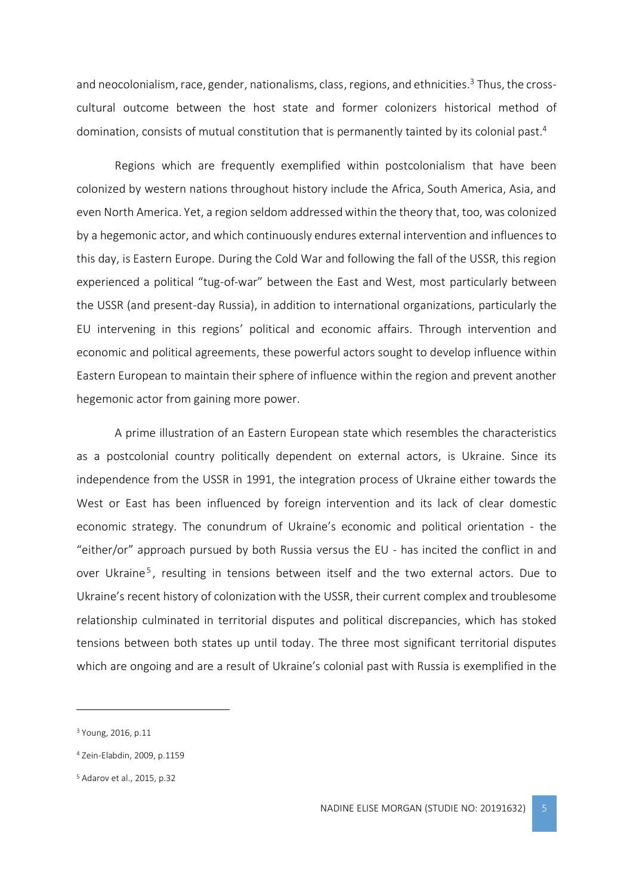and neocolonialism, race, gender, nationalisms, class, regions, and ethnicities.<sup>3</sup> Thus, the crosscultural outcome between the host state and former colonizers historical method of domination, consists of mutual constitution that is permanently tainted by its colonial past.<sup>4</sup>

Regions which are frequently exemplified within postcolonialism that have been colonized by western nations throughout history include the Africa, South America, Asia, and even North America. Yet, a region seldom addressedwithin the theory that, too, was colonized by a hegemonic actor, and which continuously endures external intervention and influences to this day, is Eastern Europe. During the Cold War and following the fall of the USSR, this region experienced a political "tug-of-war" between the East and West, most particularly between the USSR (and present-day Russia), in addition to international organizations, particularly the EU intervening in this regions' political and economic affairs. Through intervention and economic and political agreements, these powerful actors sought to develop influence within Eastern European to maintain their sphere of influence within the region and prevent another hegemonic actor from gaining more power.

A prime illustration of an Eastern European state which resembles the characteristics as a postcolonial country politically dependent on external actors, is Ukraine. Since its independence from the USSR in 1991, the integration process of Ukraine either towards the West or East has been influenced by foreign intervention and its lack of clear domestic economic strategy. The conundrum of Ukraine's economic and political orientation - the "either/or" approach pursued by both Russia versus the EU - has incited the conflict in and over Ukraine<sup>5</sup>, resulting in tensions between itself and the two external actors. Due to Ukraine's recent history of colonization with the USSR, their current complex and troublesome relationship culminated in territorial disputes and political discrepancies, which has stoked tensions between both states up until today. The three most significant territorial disputes which are ongoing and are a result of Ukraine's colonial past with Russia is exemplified in the

<sup>3</sup> Young, 2016, p.11

<sup>4</sup> Zein-Elabdin, 2009, p.1159

<sup>5</sup> Adarov et al., 2015, p.32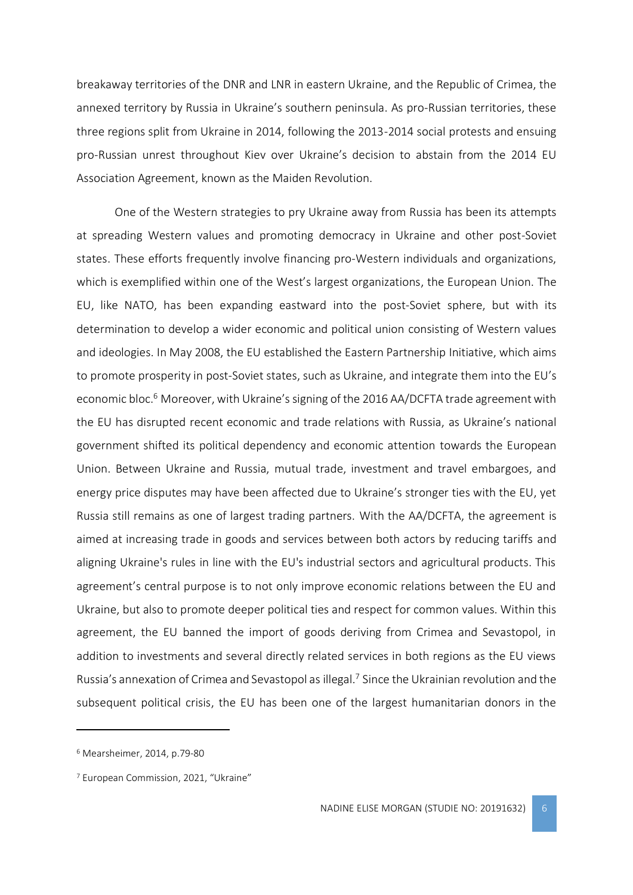breakaway territories of the DNR and LNR in eastern Ukraine, and the Republic of Crimea, the annexed territory by Russia in Ukraine's southern peninsula. As pro-Russian territories, these three regions split from Ukraine in 2014, following the 2013-2014 social protests and ensuing pro-Russian unrest throughout Kiev over Ukraine's decision to abstain from the 2014 EU Association Agreement, known as the Maiden Revolution.

One of the Western strategies to pry Ukraine away from Russia has been its attempts at spreading Western values and promoting democracy in Ukraine and other post-Soviet states. These efforts frequently involve financing pro-Western individuals and organizations, which is exemplified within one of the West's largest organizations, the European Union. The EU, like NATO, has been expanding eastward into the post-Soviet sphere, but with its determination to develop a wider economic and political union consisting of Western values and ideologies. In May 2008, the EU established the Eastern Partnership Initiative, which aims to promote prosperity in post-Soviet states, such as Ukraine, and integrate them into the EU's economic bloc.<sup>6</sup> Moreover, with Ukraine's signing of the 2016 AA/DCFTA trade agreement with the EU has disrupted recent economic and trade relations with Russia, as Ukraine's national government shifted its political dependency and economic attention towards the European Union. Between Ukraine and Russia, mutual trade, investment and travel embargoes, and energy price disputes may have been affected due to Ukraine's stronger ties with the EU, yet Russia still remains as one of largest trading partners. With the AA/DCFTA, the agreement is aimed at increasing trade in goods and services between both actors by reducing tariffs and aligning Ukraine's rules in line with the EU's industrial sectors and agricultural products. This agreement's central purpose is to not only improve economic relations between the EU and Ukraine, but also to promote deeper political ties and respect for common values. Within this agreement, the EU banned the import of goods deriving from Crimea and Sevastopol, in addition to investments and several directly related services in both regions as the EU views Russia's annexation of Crimea and Sevastopol as illegal.<sup>7</sup> Since the Ukrainian revolution and the subsequent political crisis, the EU has been one of the largest humanitarian donors in the

<sup>6</sup> Mearsheimer, 2014, p.79-80

<sup>7</sup> European Commission, 2021, "Ukraine"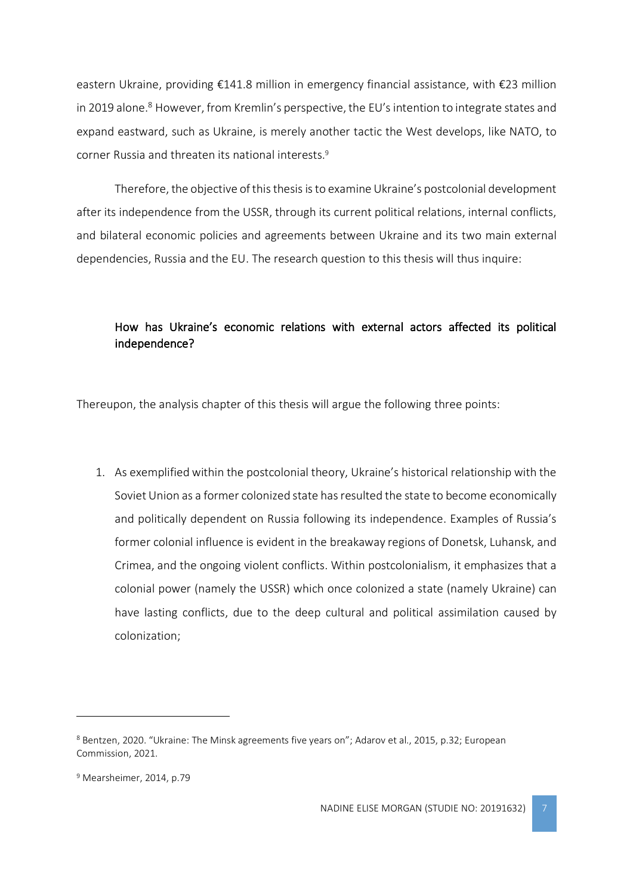eastern Ukraine, providing €141.8 million in emergency financial assistance, with €23 million in 2019 alone.<sup>8</sup> However, from Kremlin's perspective, the EU's intention to integrate states and expand eastward, such as Ukraine, is merely another tactic the West develops, like NATO, to corner Russia and threaten its national interests.<sup>9</sup>

Therefore, the objective of this thesis is to examine Ukraine's postcolonial development after its independence from the USSR, through its current political relations, internal conflicts, and bilateral economic policies and agreements between Ukraine and its two main external dependencies, Russia and the EU. The research question to this thesis will thus inquire:

# How has Ukraine's economic relations with external actors affected its political independence?

Thereupon, the analysis chapter of this thesis will argue the following three points:

1. As exemplified within the postcolonial theory, Ukraine's historical relationship with the Soviet Union as a former colonized state has resulted the state to become economically and politically dependent on Russia following its independence. Examples of Russia's former colonial influence is evident in the breakaway regions of Donetsk, Luhansk, and Crimea, and the ongoing violent conflicts. Within postcolonialism, it emphasizes that a colonial power (namely the USSR) which once colonized a state (namely Ukraine) can have lasting conflicts, due to the deep cultural and political assimilation caused by colonization;

<sup>8</sup> Bentzen, 2020. "Ukraine: The Minsk agreements five years on"; Adarov et al., 2015, p.32; European Commission, 2021.

<sup>9</sup> Mearsheimer, 2014, p.79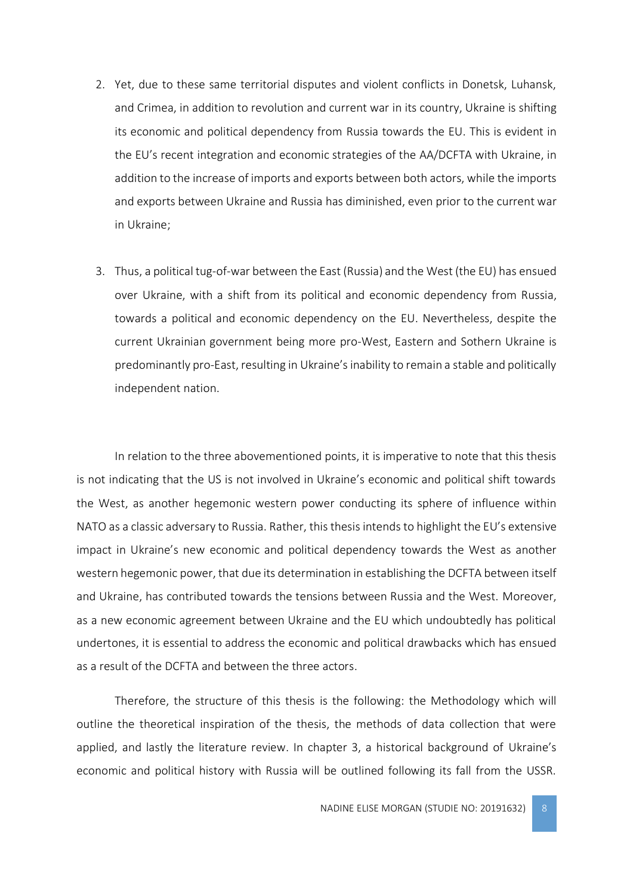- 2. Yet, due to these same territorial disputes and violent conflicts in Donetsk, Luhansk, and Crimea, in addition to revolution and current war in its country, Ukraine is shifting its economic and political dependency from Russia towards the EU. This is evident in the EU's recent integration and economic strategies of the AA/DCFTA with Ukraine, in addition to the increase of imports and exports between both actors, while the imports and exports between Ukraine and Russia has diminished, even prior to the current war in Ukraine;
- 3. Thus, a political tug-of-war between the East (Russia) and the West (the EU) has ensued over Ukraine, with a shift from its political and economic dependency from Russia, towards a political and economic dependency on the EU. Nevertheless, despite the current Ukrainian government being more pro-West, Eastern and Sothern Ukraine is predominantly pro-East, resulting in Ukraine's inability to remain a stable and politically independent nation.

In relation to the three abovementioned points, it is imperative to note that this thesis is not indicating that the US is not involved in Ukraine's economic and political shift towards the West, as another hegemonic western power conducting its sphere of influence within NATO as a classic adversary to Russia. Rather, this thesis intends to highlight the EU's extensive impact in Ukraine's new economic and political dependency towards the West as another western hegemonic power, that due its determination in establishing the DCFTA between itself and Ukraine, has contributed towards the tensions between Russia and the West. Moreover, as a new economic agreement between Ukraine and the EU which undoubtedly has political undertones, it is essential to address the economic and political drawbacks which has ensued as a result of the DCFTA and between the three actors.

Therefore, the structure of this thesis is the following: the Methodology which will outline the theoretical inspiration of the thesis, the methods of data collection that were applied, and lastly the literature review. In chapter 3, a historical background of Ukraine's economic and political history with Russia will be outlined following its fall from the USSR.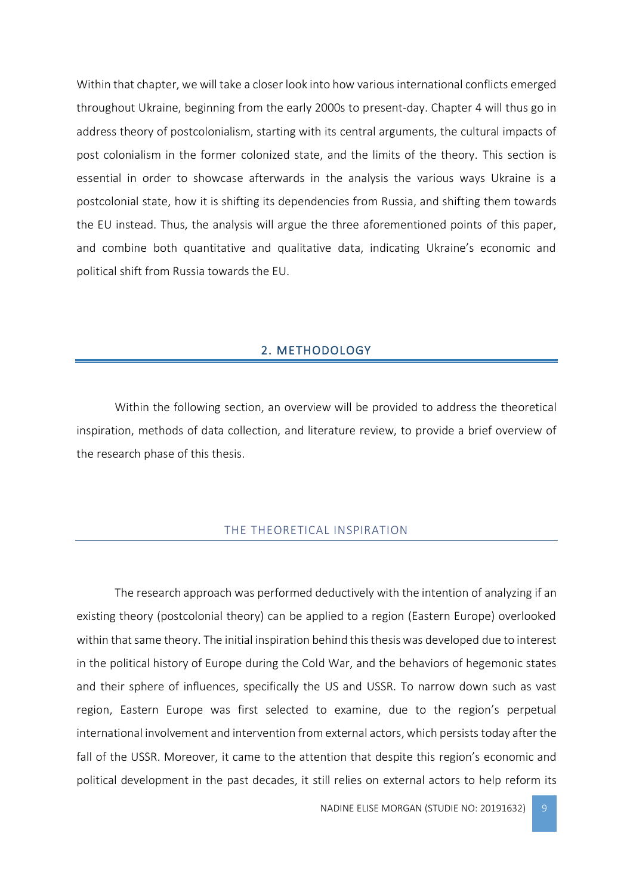Within that chapter, we will take a closer look into how various international conflicts emerged throughout Ukraine, beginning from the early 2000s to present-day. Chapter 4 will thus go in address theory of postcolonialism, starting with its central arguments, the cultural impacts of post colonialism in the former colonized state, and the limits of the theory. This section is essential in order to showcase afterwards in the analysis the various ways Ukraine is a postcolonial state, how it is shifting its dependencies from Russia, and shifting them towards the EU instead. Thus, the analysis will argue the three aforementioned points of this paper, and combine both quantitative and qualitative data, indicating Ukraine's economic and political shift from Russia towards the EU.

#### 2. METHODOLOGY

<span id="page-9-0"></span>Within the following section, an overview will be provided to address the theoretical inspiration, methods of data collection, and literature review, to provide a brief overview of the research phase of this thesis.

#### THE THEORETICAL INSPIRATION

<span id="page-9-1"></span>The research approach was performed deductively with the intention of analyzing if an existing theory (postcolonial theory) can be applied to a region (Eastern Europe) overlooked within that same theory. The initial inspiration behind this thesis was developed due to interest in the political history of Europe during the Cold War, and the behaviors of hegemonic states and their sphere of influences, specifically the US and USSR. To narrow down such as vast region, Eastern Europe was first selected to examine, due to the region's perpetual international involvement and intervention from external actors, which persists today after the fall of the USSR. Moreover, it came to the attention that despite this region's economic and political development in the past decades, it still relies on external actors to help reform its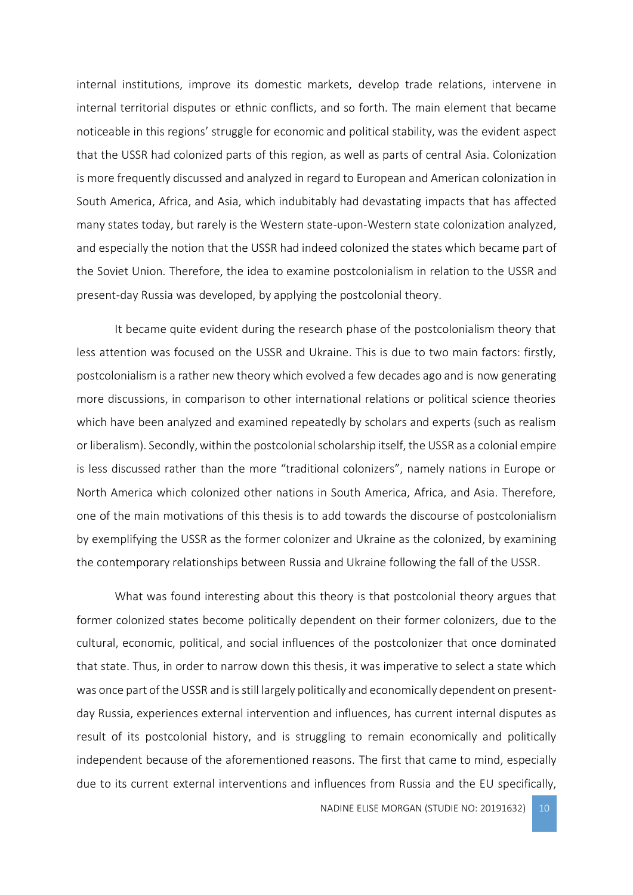internal institutions, improve its domestic markets, develop trade relations, intervene in internal territorial disputes or ethnic conflicts, and so forth. The main element that became noticeable in this regions' struggle for economic and political stability, was the evident aspect that the USSR had colonized parts of this region, as well as parts of central Asia. Colonization is more frequently discussed and analyzed in regard to European and American colonization in South America, Africa, and Asia, which indubitably had devastating impacts that has affected many states today, but rarely is the Western state-upon-Western state colonization analyzed, and especially the notion that the USSR had indeed colonized the states which became part of the Soviet Union. Therefore, the idea to examine postcolonialism in relation to the USSR and present-day Russia was developed, by applying the postcolonial theory.

It became quite evident during the research phase of the postcolonialism theory that less attention was focused on the USSR and Ukraine. This is due to two main factors: firstly, postcolonialism is a rather new theory which evolved a few decades ago and is now generating more discussions, in comparison to other international relations or political science theories which have been analyzed and examined repeatedly by scholars and experts (such as realism or liberalism). Secondly, within the postcolonial scholarship itself, the USSR as a colonial empire is less discussed rather than the more "traditional colonizers", namely nations in Europe or North America which colonized other nations in South America, Africa, and Asia. Therefore, one of the main motivations of this thesis is to add towards the discourse of postcolonialism by exemplifying the USSR as the former colonizer and Ukraine as the colonized, by examining the contemporary relationships between Russia and Ukraine following the fall of the USSR.

What was found interesting about this theory is that postcolonial theory argues that former colonized states become politically dependent on their former colonizers, due to the cultural, economic, political, and social influences of the postcolonizer that once dominated that state. Thus, in order to narrow down this thesis, it was imperative to select a state which was once part of the USSR and is still largely politically and economically dependent on presentday Russia, experiences external intervention and influences, has current internal disputes as result of its postcolonial history, and is struggling to remain economically and politically independent because of the aforementioned reasons. The first that came to mind, especially due to its current external interventions and influences from Russia and the EU specifically,

NADINE ELISE MORGAN (STUDIE NO: 20191632) 10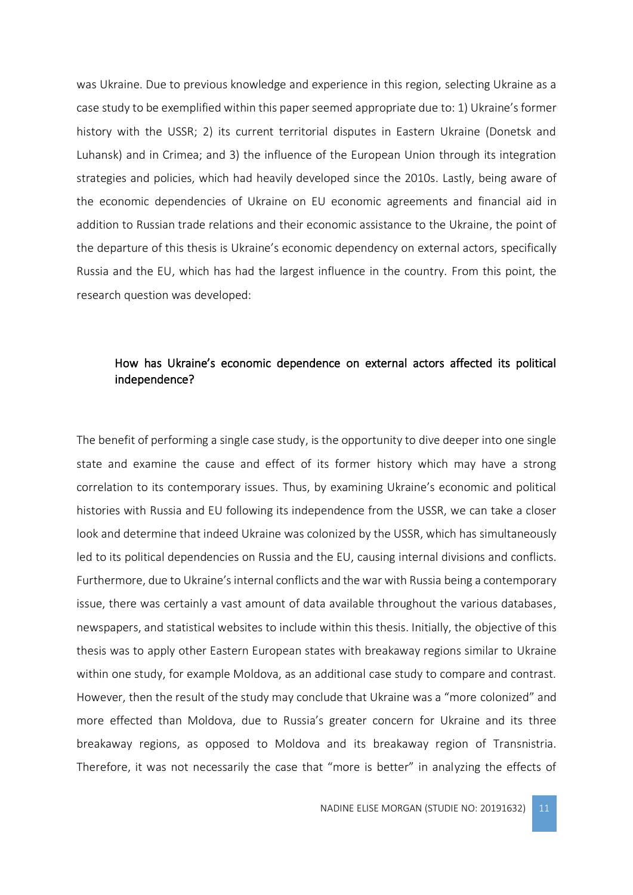was Ukraine. Due to previous knowledge and experience in this region, selecting Ukraine as a case study to be exemplified within this paper seemed appropriate due to: 1) Ukraine's former history with the USSR; 2) its current territorial disputes in Eastern Ukraine (Donetsk and Luhansk) and in Crimea; and 3) the influence of the European Union through its integration strategies and policies, which had heavily developed since the 2010s. Lastly, being aware of the economic dependencies of Ukraine on EU economic agreements and financial aid in addition to Russian trade relations and their economic assistance to the Ukraine, the point of the departure of this thesis is Ukraine's economic dependency on external actors, specifically Russia and the EU, which has had the largest influence in the country. From this point, the research question was developed:

# How has Ukraine's economic dependence on external actors affected its political independence?

The benefit of performing a single case study, is the opportunity to dive deeper into one single state and examine the cause and effect of its former history which may have a strong correlation to its contemporary issues. Thus, by examining Ukraine's economic and political histories with Russia and EU following its independence from the USSR, we can take a closer look and determine that indeed Ukraine was colonized by the USSR, which has simultaneously led to its political dependencies on Russia and the EU, causing internal divisions and conflicts. Furthermore, due to Ukraine's internal conflicts and the war with Russia being a contemporary issue, there was certainly a vast amount of data available throughout the various databases, newspapers, and statistical websites to include within this thesis. Initially, the objective of this thesis was to apply other Eastern European states with breakaway regions similar to Ukraine within one study, for example Moldova, as an additional case study to compare and contrast. However, then the result of the study may conclude that Ukraine was a "more colonized" and more effected than Moldova, due to Russia's greater concern for Ukraine and its three breakaway regions, as opposed to Moldova and its breakaway region of Transnistria. Therefore, it was not necessarily the case that "more is better" in analyzing the effects of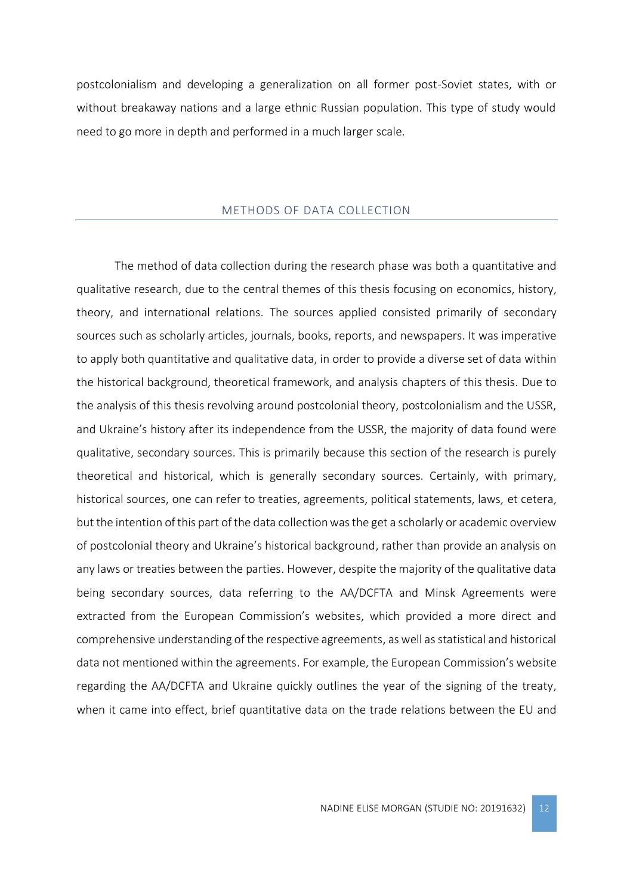postcolonialism and developing a generalization on all former post-Soviet states, with or without breakaway nations and a large ethnic Russian population. This type of study would need to go more in depth and performed in a much larger scale.

#### METHODS OF DATA COLLECTION

<span id="page-12-0"></span>The method of data collection during the research phase was both a quantitative and qualitative research, due to the central themes of this thesis focusing on economics, history, theory, and international relations. The sources applied consisted primarily of secondary sources such as scholarly articles, journals, books, reports, and newspapers. It was imperative to apply both quantitative and qualitative data, in order to provide a diverse set of data within the historical background, theoretical framework, and analysis chapters of this thesis. Due to the analysis of this thesis revolving around postcolonial theory, postcolonialism and the USSR, and Ukraine's history after its independence from the USSR, the majority of data found were qualitative, secondary sources. This is primarily because this section of the research is purely theoretical and historical, which is generally secondary sources. Certainly, with primary, historical sources, one can refer to treaties, agreements, political statements, laws, et cetera, but the intention of this part of the data collection was the get a scholarly or academic overview of postcolonial theory and Ukraine's historical background, rather than provide an analysis on any laws or treaties between the parties. However, despite the majority of the qualitative data being secondary sources, data referring to the AA/DCFTA and Minsk Agreements were extracted from the European Commission's websites, which provided a more direct and comprehensive understanding of the respective agreements, as well as statistical and historical data not mentioned within the agreements. For example, the European Commission's website regarding the AA/DCFTA and Ukraine quickly outlines the year of the signing of the treaty, when it came into effect, brief quantitative data on the trade relations between the EU and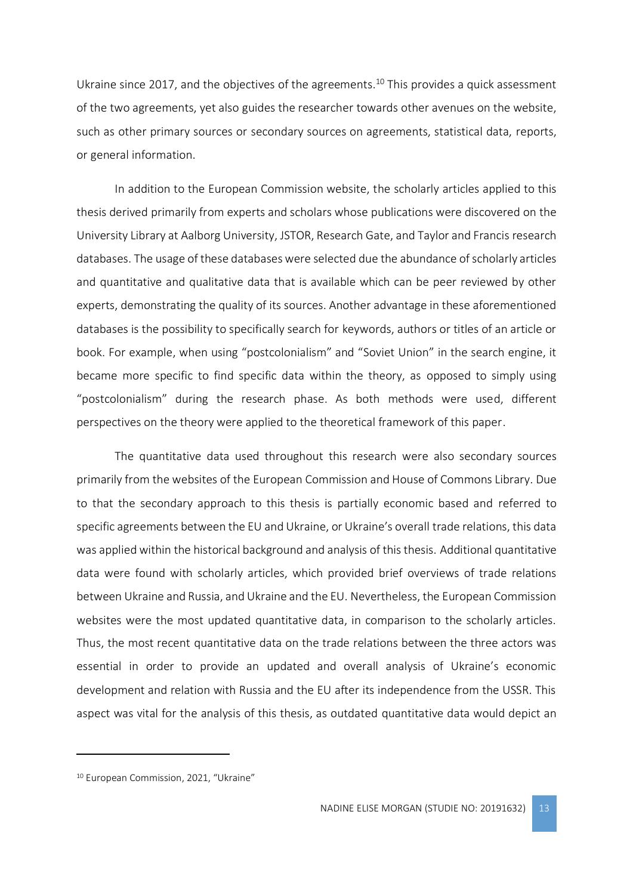Ukraine since 2017, and the objectives of the agreements.<sup>10</sup> This provides a quick assessment of the two agreements, yet also guides the researcher towards other avenues on the website, such as other primary sources or secondary sources on agreements, statistical data, reports, or general information.

In addition to the European Commission website, the scholarly articles applied to this thesis derived primarily from experts and scholars whose publications were discovered on the University Library at Aalborg University, JSTOR, Research Gate, and Taylor and Francis research databases. The usage of these databases were selected due the abundance of scholarly articles and quantitative and qualitative data that is available which can be peer reviewed by other experts, demonstrating the quality of its sources. Another advantage in these aforementioned databases is the possibility to specifically search for keywords, authors or titles of an article or book. For example, when using "postcolonialism" and "Soviet Union" in the search engine, it became more specific to find specific data within the theory, as opposed to simply using "postcolonialism" during the research phase. As both methods were used, different perspectives on the theory were applied to the theoretical framework of this paper.

The quantitative data used throughout this research were also secondary sources primarily from the websites of the European Commission and House of Commons Library. Due to that the secondary approach to this thesis is partially economic based and referred to specific agreements between the EU and Ukraine, or Ukraine's overall trade relations, this data was applied within the historical background and analysis of this thesis. Additional quantitative data were found with scholarly articles, which provided brief overviews of trade relations between Ukraine and Russia, and Ukraine and the EU. Nevertheless, the European Commission websites were the most updated quantitative data, in comparison to the scholarly articles. Thus, the most recent quantitative data on the trade relations between the three actors was essential in order to provide an updated and overall analysis of Ukraine's economic development and relation with Russia and the EU after its independence from the USSR. This aspect was vital for the analysis of this thesis, as outdated quantitative data would depict an

<sup>10</sup> European Commission, 2021, "Ukraine"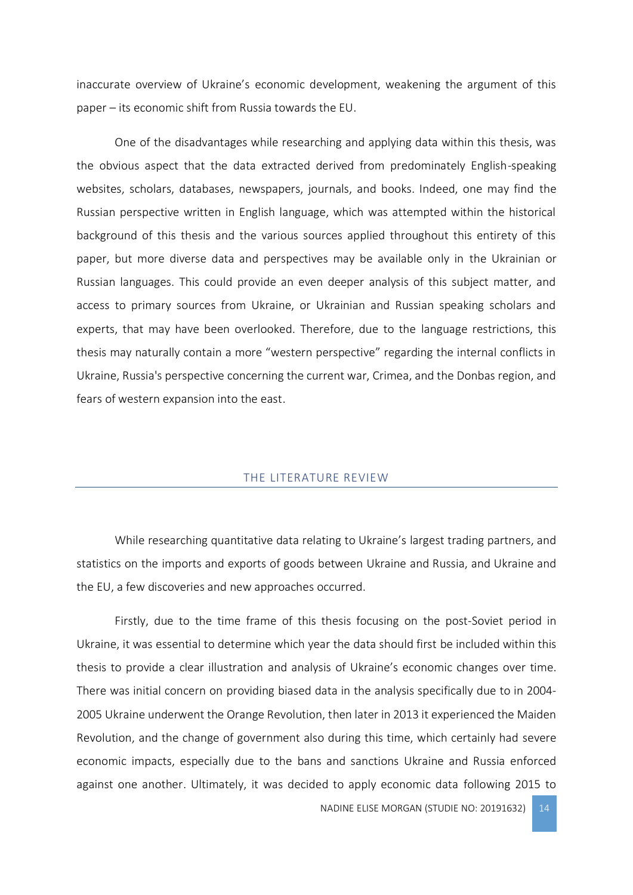inaccurate overview of Ukraine's economic development, weakening the argument of this paper – its economic shift from Russia towards the EU.

One of the disadvantages while researching and applying data within this thesis, was the obvious aspect that the data extracted derived from predominately English-speaking websites, scholars, databases, newspapers, journals, and books. Indeed, one may find the Russian perspective written in English language, which was attempted within the historical background of this thesis and the various sources applied throughout this entirety of this paper, but more diverse data and perspectives may be available only in the Ukrainian or Russian languages. This could provide an even deeper analysis of this subject matter, and access to primary sources from Ukraine, or Ukrainian and Russian speaking scholars and experts, that may have been overlooked. Therefore, due to the language restrictions, this thesis may naturally contain a more "western perspective" regarding the internal conflicts in Ukraine, Russia's perspective concerning the current war, Crimea, and the Donbas region, and fears of western expansion into the east.

#### THE LITERATURE REVIEW

<span id="page-14-0"></span>While researching quantitative data relating to Ukraine's largest trading partners, and statistics on the imports and exports of goods between Ukraine and Russia, and Ukraine and the EU, a few discoveries and new approaches occurred.

Firstly, due to the time frame of this thesis focusing on the post-Soviet period in Ukraine, it was essential to determine which year the data should first be included within this thesis to provide a clear illustration and analysis of Ukraine's economic changes over time. There was initial concern on providing biased data in the analysis specifically due to in 2004- 2005 Ukraine underwent the Orange Revolution, then later in 2013 it experienced the Maiden Revolution, and the change of government also during this time, which certainly had severe economic impacts, especially due to the bans and sanctions Ukraine and Russia enforced against one another. Ultimately, it was decided to apply economic data following 2015 to

NADINE ELISE MORGAN (STUDIE NO: 20191632) 14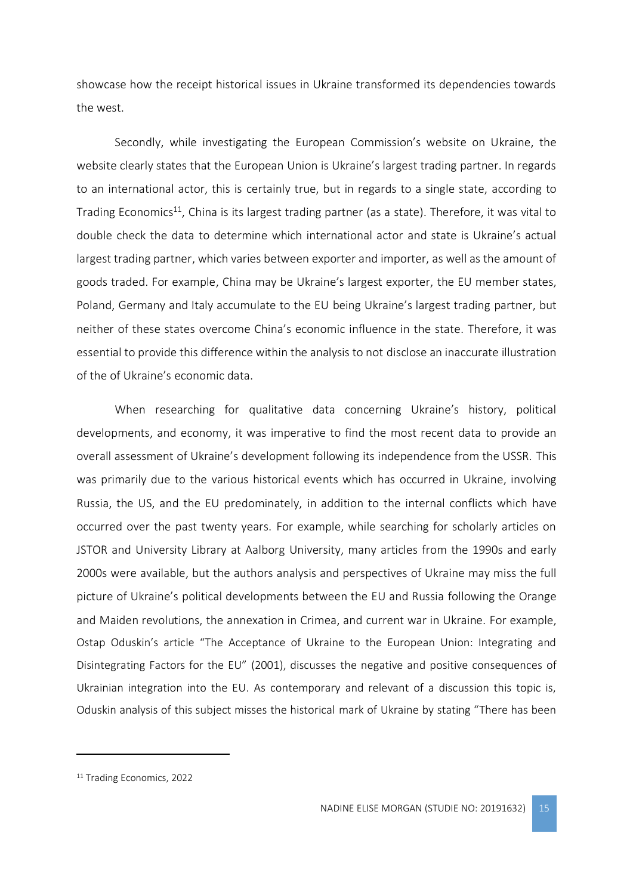showcase how the receipt historical issues in Ukraine transformed its dependencies towards the west.

Secondly, while investigating the European Commission's website on Ukraine, the website clearly states that the European Union is Ukraine's largest trading partner. In regards to an international actor, this is certainly true, but in regards to a single state, according to Trading Economics<sup>11</sup>, China is its largest trading partner (as a state). Therefore, it was vital to double check the data to determine which international actor and state is Ukraine's actual largest trading partner, which varies between exporter and importer, as well as the amount of goods traded. For example, China may be Ukraine's largest exporter, the EU member states, Poland, Germany and Italy accumulate to the EU being Ukraine's largest trading partner, but neither of these states overcome China's economic influence in the state. Therefore, it was essential to provide this difference within the analysis to not disclose an inaccurate illustration of the of Ukraine's economic data.

When researching for qualitative data concerning Ukraine's history, political developments, and economy, it was imperative to find the most recent data to provide an overall assessment of Ukraine's development following its independence from the USSR. This was primarily due to the various historical events which has occurred in Ukraine, involving Russia, the US, and the EU predominately, in addition to the internal conflicts which have occurred over the past twenty years. For example, while searching for scholarly articles on JSTOR and University Library at Aalborg University, many articles from the 1990s and early 2000s were available, but the authors analysis and perspectives of Ukraine may miss the full picture of Ukraine's political developments between the EU and Russia following the Orange and Maiden revolutions, the annexation in Crimea, and current war in Ukraine. For example, Ostap Oduskin's article "The Acceptance of Ukraine to the European Union: Integrating and Disintegrating Factors for the EU" (2001), discusses the negative and positive consequences of Ukrainian integration into the EU. As contemporary and relevant of a discussion this topic is, Oduskin analysis of this subject misses the historical mark of Ukraine by stating "There has been

<sup>&</sup>lt;sup>11</sup> Trading Economics, 2022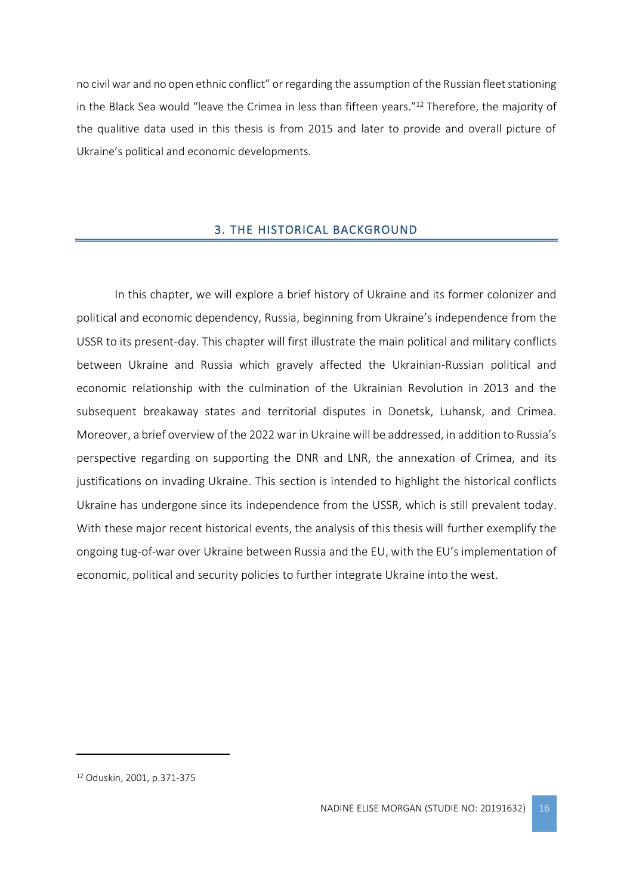no civil war and no open ethnic conflict" or regarding the assumption of the Russian fleet stationing in the Black Sea would "leave the Crimea in less than fifteen years." <sup>12</sup> Therefore, the majority of the qualitive data used in this thesis is from 2015 and later to provide and overall picture of Ukraine's political and economic developments.

# 3. THE HISTORICAL BACKGROUND

<span id="page-16-0"></span>In this chapter, we will explore a brief history of Ukraine and its former colonizer and political and economic dependency, Russia, beginning from Ukraine's independence from the USSR to its present-day. This chapter will first illustrate the main political and military conflicts between Ukraine and Russia which gravely affected the Ukrainian-Russian political and economic relationship with the culmination of the Ukrainian Revolution in 2013 and the subsequent breakaway states and territorial disputes in Donetsk, Luhansk, and Crimea. Moreover, a brief overview of the 2022 war in Ukraine will be addressed, in addition to Russia's perspective regarding on supporting the DNR and LNR, the annexation of Crimea, and its justifications on invading Ukraine. This section is intended to highlight the historical conflicts Ukraine has undergone since its independence from the USSR, which is still prevalent today. With these major recent historical events, the analysis of this thesis will further exemplify the ongoing tug-of-war over Ukraine between Russia and the EU, with the EU's implementation of economic, political and security policies to further integrate Ukraine into the west.

<sup>12</sup> Oduskin, 2001, p.371-375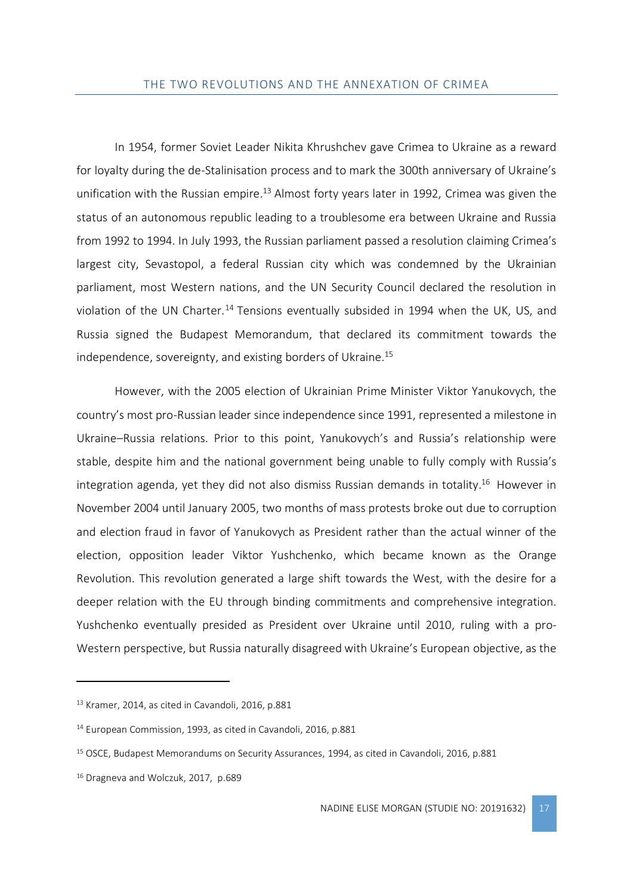<span id="page-17-0"></span>In 1954, former Soviet Leader Nikita Khrushchev gave Crimea to Ukraine as a reward for loyalty during the de-Stalinisation process and to mark the 300th anniversary of Ukraine's unification with the Russian empire.<sup>13</sup> Almost forty years later in 1992, Crimea was given the status of an autonomous republic leading to a troublesome era between Ukraine and Russia from 1992 to 1994. In July 1993, the Russian parliament passed a resolution claiming Crimea's largest city, Sevastopol, a federal Russian city which was condemned by the Ukrainian parliament, most Western nations, and the UN Security Council declared the resolution in violation of the UN Charter.<sup>14</sup> Tensions eventually subsided in 1994 when the UK, US, and Russia signed the Budapest Memorandum, that declared its commitment towards the independence, sovereignty, and existing borders of Ukraine.<sup>15</sup>

However, with the 2005 election of Ukrainian Prime Minister Viktor Yanukovych, the country's most pro-Russian leader since independence since 1991, represented a milestone in Ukraine–Russia relations. Prior to this point, Yanukovych's and Russia's relationship were stable, despite him and the national government being unable to fully comply with Russia's integration agenda, yet they did not also dismiss Russian demands in totality. <sup>16</sup> However in November 2004 until January 2005, two months of mass protests broke out due to corruption and election fraud in favor of Yanukovych as President rather than the actual winner of the election, opposition leader Viktor Yushchenko, which became known as the Orange Revolution. This revolution generated a large shift towards the West, with the desire for a deeper relation with the EU through binding commitments and comprehensive integration. Yushchenko eventually presided as President over Ukraine until 2010, ruling with a pro-Western perspective, but Russia naturally disagreed with Ukraine's European objective, as the

<sup>13</sup> Kramer, 2014, as cited in Cavandoli, 2016, p.881

<sup>14</sup> European Commission, 1993, as cited in Cavandoli, 2016, p.881

<sup>15</sup> OSCE, Budapest Memorandums on Security Assurances, 1994, as cited in Cavandoli, 2016, p.881

<sup>16</sup> Dragneva and Wolczuk, 2017, p.689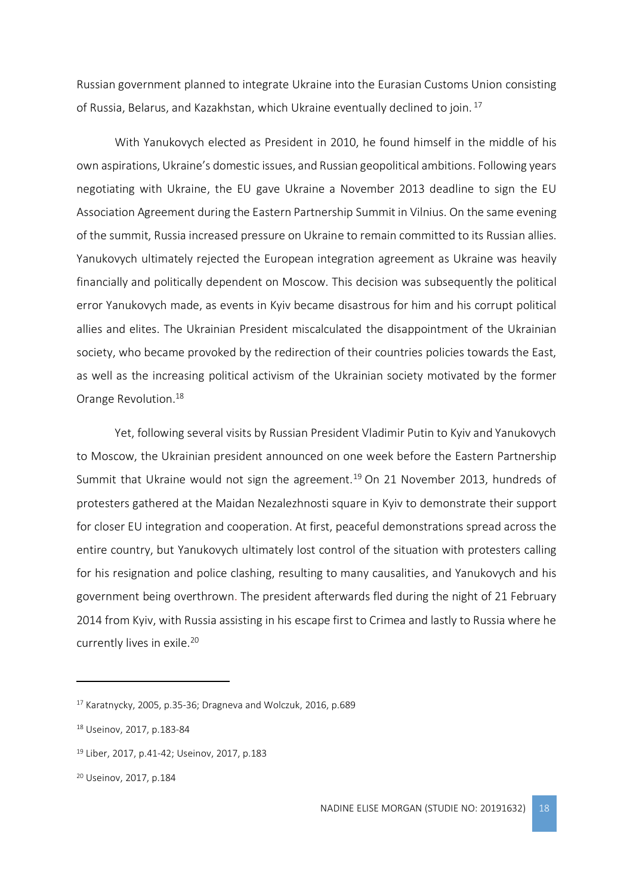Russian government planned to integrate Ukraine into the Eurasian Customs Union consisting of Russia, Belarus, and Kazakhstan, which Ukraine eventually declined to join. 17

With Yanukovych elected as President in 2010, he found himself in the middle of his own aspirations, Ukraine's domestic issues, and Russian geopolitical ambitions. Following years negotiating with Ukraine, the EU gave Ukraine a November 2013 deadline to sign the EU Association Agreement during the Eastern Partnership Summit in Vilnius. On the same evening of the summit, Russia increased pressure on Ukraine to remain committed to its Russian allies. Yanukovych ultimately rejected the European integration agreement as Ukraine was heavily financially and politically dependent on Moscow. This decision was subsequently the political error Yanukovych made, as events in Kyiv became disastrous for him and his corrupt political allies and elites. The Ukrainian President miscalculated the disappointment of the Ukrainian society, who became provoked by the redirection of their countries policies towards the East, as well as the increasing political activism of the Ukrainian society motivated by the former Orange Revolution.<sup>18</sup>

Yet, following several visits by Russian President Vladimir Putin to Kyiv and Yanukovych to Moscow, the Ukrainian president announced on one week before the Eastern Partnership Summit that Ukraine would not sign the agreement.<sup>19</sup> On 21 November 2013, hundreds of protesters gathered at the Maidan Nezalezhnosti square in Kyiv to demonstrate their support for closer EU integration and cooperation. At first, peaceful demonstrations spread across the entire country, but Yanukovych ultimately lost control of the situation with protesters calling for his resignation and police clashing, resulting to many causalities, and Yanukovych and his government being overthrown. The president afterwards fled during the night of 21 February 2014 from Kyiv, with Russia assisting in his escape first to Crimea and lastly to Russia where he currently lives in exile.<sup>20</sup>

<sup>17</sup> Karatnycky, 2005, p.35-36; Dragneva and Wolczuk, 2016, p.689

<sup>18</sup> Useinov, 2017, p.183-84

<sup>19</sup> Liber, 2017, p.41-42; Useinov, 2017, p.183

<sup>20</sup> Useinov, 2017, p.184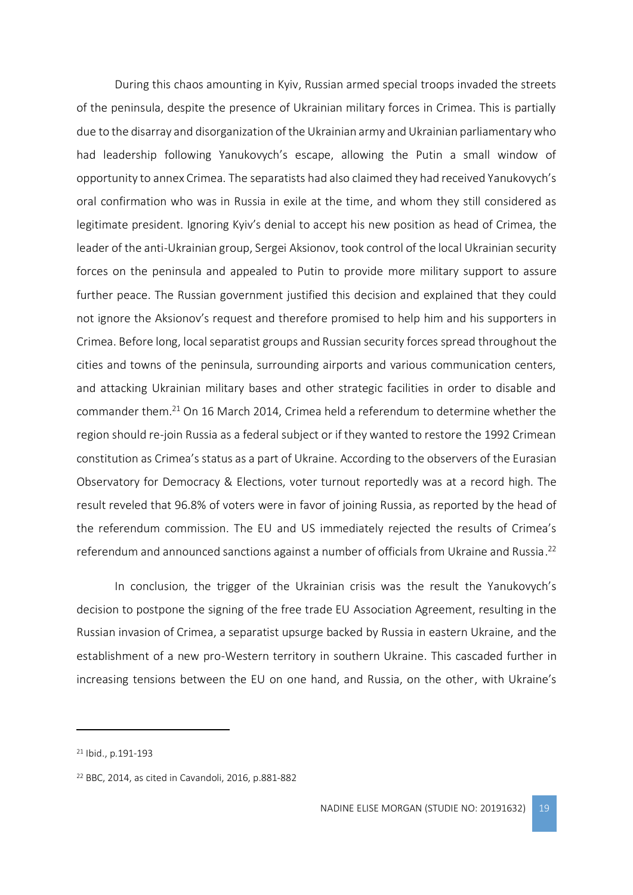During this chaos amounting in Kyiv, Russian armed special troops invaded the streets of the peninsula, despite the presence of Ukrainian military forces in Crimea. This is partially due to the disarray and disorganization of the Ukrainian army and Ukrainian parliamentary who had leadership following Yanukovych's escape, allowing the Putin a small window of opportunity to annex Crimea. The separatists had also claimed they had received Yanukovych's oral confirmation who was in Russia in exile at the time, and whom they still considered as legitimate president. Ignoring Kyiv's denial to accept his new position as head of Crimea, the leader of the anti-Ukrainian group, Sergei Aksionov, took control of the local Ukrainian security forces on the peninsula and appealed to Putin to provide more military support to assure further peace. The Russian government justified this decision and explained that they could not ignore the Aksionov's request and therefore promised to help him and his supporters in Crimea. Before long, local separatist groups and Russian security forces spread throughout the cities and towns of the peninsula, surrounding airports and various communication centers, and attacking Ukrainian military bases and other strategic facilities in order to disable and commander them.<sup>21</sup> On 16 March 2014, Crimea held a referendum to determine whether the region should re-join Russia as a federal subject or if they wanted to restore the 1992 Crimean constitution as Crimea's status as a part of Ukraine. According to the observers of the Eurasian Observatory for Democracy & Elections, voter turnout reportedly was at a record high. The result reveled that 96.8% of voters were in favor of joining Russia, as reported by the head of the referendum commission. The EU and US immediately rejected the results of Crimea's referendum and announced sanctions against a number of officials from Ukraine and Russia. 22

In conclusion, the trigger of the Ukrainian crisis was the result the Yanukovych's decision to postpone the signing of the free trade EU Association Agreement, resulting in the Russian invasion of Crimea, a separatist upsurge backed by Russia in eastern Ukraine, and the establishment of a new pro-Western territory in southern Ukraine. This cascaded further in increasing tensions between the EU on one hand, and Russia, on the other, with Ukraine's

<sup>21</sup> Ibid., p.191-193

<sup>22</sup> BBC, 2014, as cited in Cavandoli, 2016, p.881-882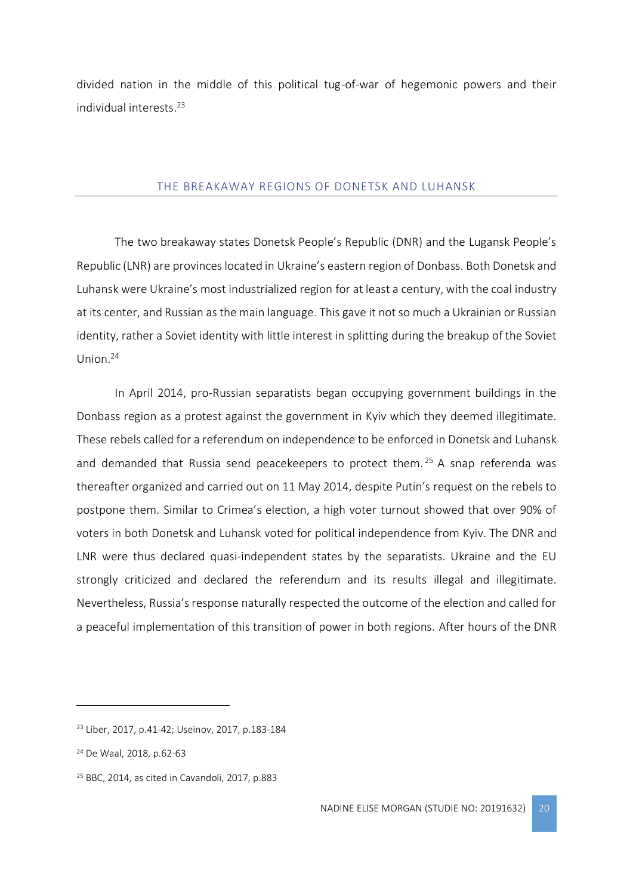divided nation in the middle of this political tug-of-war of hegemonic powers and their individual interests. 23

#### THE BREAKAWAY REGIONS OF DONETSK AND LUHANSK

<span id="page-20-0"></span>The two breakaway states Donetsk People's Republic (DNR) and the Lugansk People's Republic (LNR) are provinces located in Ukraine's eastern region of Donbass. Both Donetsk and Luhansk were Ukraine's most industrialized region for at least a century, with the coal industry at its center, and Russian as the main language. This gave it not so much a Ukrainian or Russian identity, rather a Soviet identity with little interest in splitting during the breakup of the Soviet Union.<sup>24</sup>

In April 2014, pro-Russian separatists began occupying government buildings in the Donbass region as a protest against the government in Kyiv which they deemed illegitimate. These rebels called for a referendum on independence to be enforced in Donetsk and Luhansk and demanded that Russia send peacekeepers to protect them.<sup>25</sup> A snap referenda was thereafter organized and carried out on 11 May 2014, despite Putin's request on the rebels to postpone them. Similar to Crimea's election, a high voter turnout showed that over 90% of voters in both Donetsk and Luhansk voted for political independence from Kyiv. The DNR and LNR were thus declared quasi-independent states by the separatists. Ukraine and the EU strongly criticized and declared the referendum and its results illegal and illegitimate. Nevertheless, Russia's response naturally respected the outcome of the election and called for a peaceful implementation of this transition of power in both regions. After hours of the DNR

<sup>23</sup> Liber, 2017, p.41-42; Useinov, 2017, p.183-184

<sup>24</sup> De Waal, 2018, p.62-63

<sup>25</sup> BBC, 2014, as cited in Cavandoli, 2017, p.883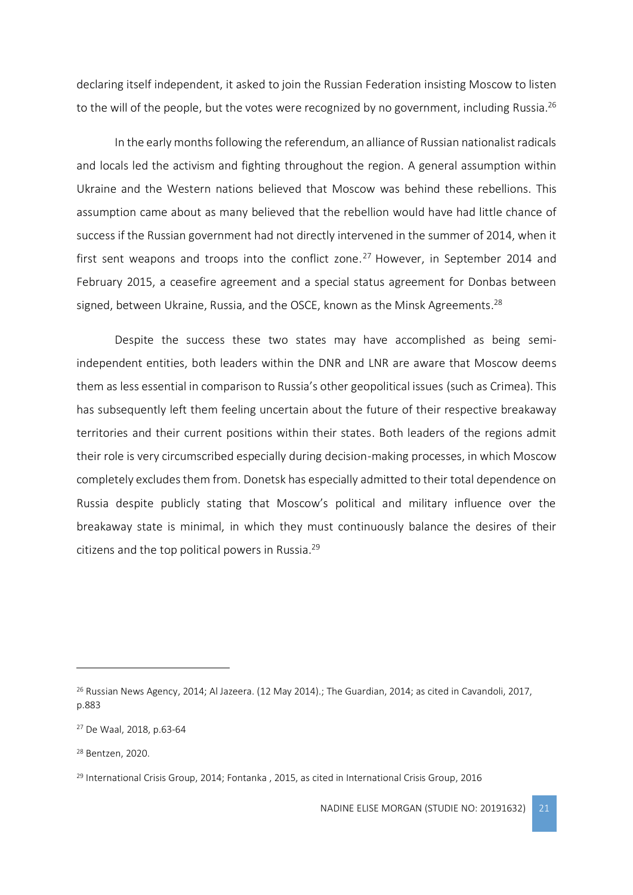declaring itself independent, it asked to join the Russian Federation insisting Moscow to listen to the will of the people, but the votes were recognized by no government, including Russia.<sup>26</sup>

In the early months following the referendum, an alliance of Russian nationalist radicals and locals led the activism and fighting throughout the region. A general assumption within Ukraine and the Western nations believed that Moscow was behind these rebellions. This assumption came about as many believed that the rebellion would have had little chance of success if the Russian government had not directly intervened in the summer of 2014, when it first sent weapons and troops into the conflict zone.<sup>27</sup> However, in September 2014 and February 2015, a ceasefire agreement and a special status agreement for Donbas between signed, between Ukraine, Russia, and the OSCE, known as the Minsk Agreements.<sup>28</sup>

Despite the success these two states may have accomplished as being semiindependent entities, both leaders within the DNR and LNR are aware that Moscow deems them as less essential in comparison to Russia's other geopolitical issues (such as Crimea). This has subsequently left them feeling uncertain about the future of their respective breakaway territories and their current positions within their states. Both leaders of the regions admit their role is very circumscribed especially during decision-making processes, in which Moscow completely excludes them from. Donetsk has especially admitted to their total dependence on Russia despite publicly stating that Moscow's political and military influence over the breakaway state is minimal, in which they must continuously balance the desires of their citizens and the top political powers in Russia.<sup>29</sup>

<sup>&</sup>lt;sup>26</sup> Russian News Agency, 2014; Al Jazeera. (12 May 2014).; The Guardian, 2014; as cited in Cavandoli, 2017, p.883

<sup>27</sup> De Waal, 2018, p.63-64

<sup>28</sup> Bentzen, 2020.

<sup>&</sup>lt;sup>29</sup> International Crisis Group, 2014; Fontanka, 2015, as cited in International Crisis Group, 2016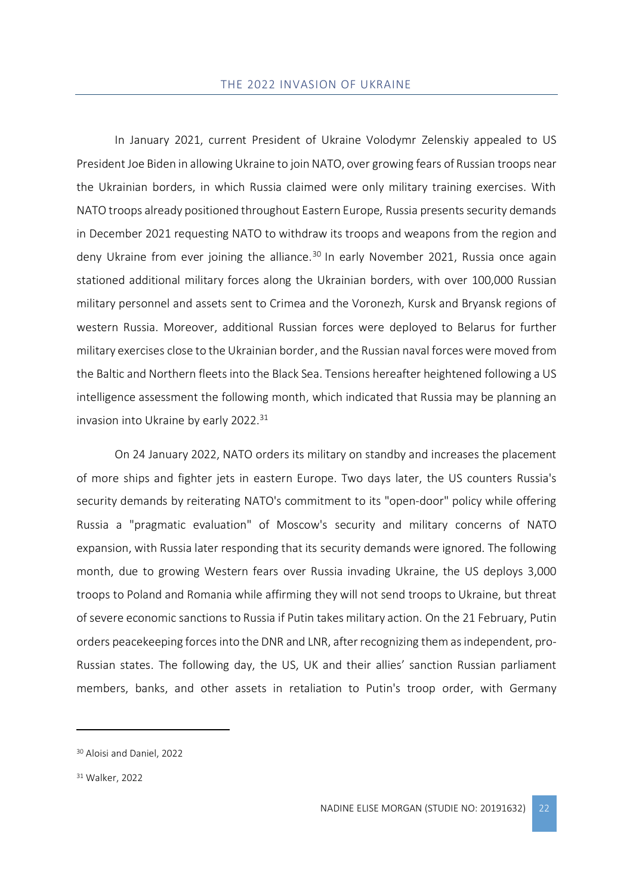<span id="page-22-0"></span>In January 2021, current President of Ukraine Volodymr Zelenskiy appealed to US President Joe Biden in allowing Ukraine to join NATO, over growing fears of Russian troops near the Ukrainian borders, in which Russia claimed were only military training exercises. With NATO troops already positioned throughout Eastern Europe, Russia presents security demands in December 2021 requesting NATO to withdraw its troops and weapons from the region and deny Ukraine from ever joining the alliance.<sup>30</sup> In early November 2021, Russia once again stationed additional military forces along the Ukrainian borders, with over 100,000 Russian military personnel and assets sent to Crimea and the Voronezh, Kursk and Bryansk regions of western Russia. Moreover, additional Russian forces were deployed to Belarus for further military exercises close to the Ukrainian border, and the Russian naval forces were moved from the Baltic and Northern fleets into the Black Sea. Tensions hereafter heightened following a US intelligence assessment the following month, which indicated that Russia may be planning an invasion into Ukraine by early 2022.<sup>31</sup>

On 24 January 2022, NATO orders its military on standby and increases the placement of more ships and fighter jets in eastern Europe. Two days later, the US counters Russia's security demands by reiterating NATO's commitment to its "open-door" policy while offering Russia a "pragmatic evaluation" of Moscow's security and military concerns of NATO expansion, with Russia later responding that its security demands were ignored. The following month, due to growing Western fears over Russia invading Ukraine, the US deploys 3,000 troops to Poland and Romania while affirming they will not send troops to Ukraine, but threat of severe economic sanctions to Russia if Putin takes military action. On the 21 February, Putin orders peacekeeping forcesinto the DNR and LNR, after recognizing them as independent, pro-Russian states. The following day, the US, UK and their allies' sanction Russian parliament members, banks, and other assets in retaliation to Putin's troop order, with Germany

<sup>30</sup> Aloisi and Daniel, 2022

<sup>31</sup> Walker, 2022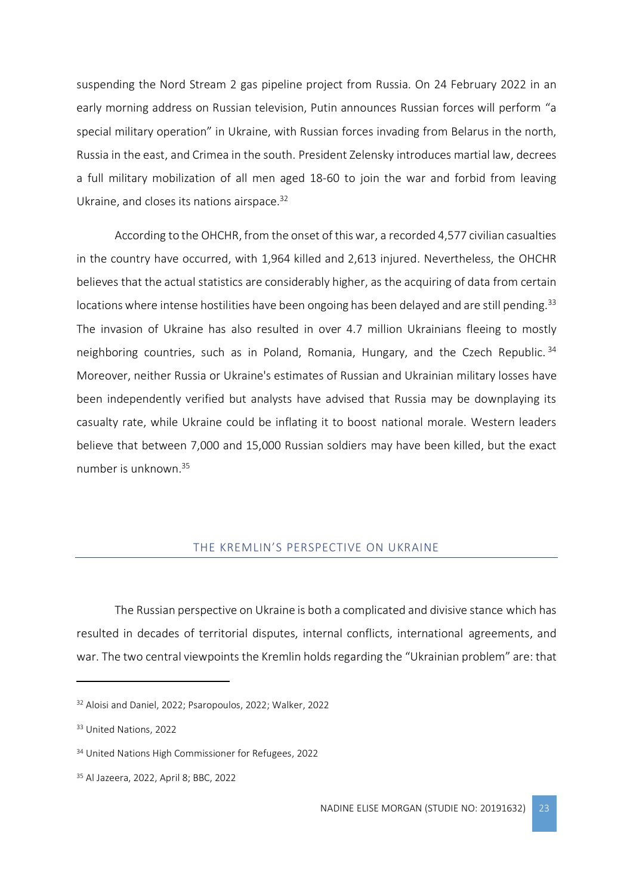suspending the Nord Stream 2 gas pipeline project from Russia. On 24 February 2022 in an early morning address on Russian television, Putin announces Russian forces will perform "a special military operation" in Ukraine, with Russian forces invading from Belarus in the north, Russia in the east, and Crimea in the south. President Zelensky introduces martial law, decrees a full military mobilization of all men aged 18-60 to join the war and forbid from leaving Ukraine, and closes its nations airspace.<sup>32</sup>

According to the OHCHR, from the onset of this war, a recorded 4,577 civilian casualties in the country have occurred, with 1,964 killed and 2,613 injured. Nevertheless, the OHCHR believes that the actual statistics are considerably higher, as the acquiring of data from certain locations where intense hostilities have been ongoing has been delayed and are still pending.<sup>33</sup> The invasion of Ukraine has also resulted in over 4.7 million Ukrainians fleeing to mostly neighboring countries, such as in Poland, Romania, Hungary, and the Czech Republic.  $34$ Moreover, neither Russia or Ukraine's estimates of Russian and Ukrainian military losses have been independently verified but analysts have advised that Russia may be downplaying its casualty rate, while Ukraine could be inflating it to boost national morale. Western leaders believe that between 7,000 and 15,000 Russian soldiers may have been killed, but the exact number is unknown. 35

#### THE KREMLIN'S PERSPECTIVE ON UKRAINE

<span id="page-23-0"></span>The Russian perspective on Ukraine is both a complicated and divisive stance which has resulted in decades of territorial disputes, internal conflicts, international agreements, and war. The two central viewpoints the Kremlin holds regarding the "Ukrainian problem" are: that

<sup>32</sup> Aloisi and Daniel, 2022; Psaropoulos, 2022; Walker, 2022

<sup>33</sup> United Nations, 2022

<sup>34</sup> United Nations High Commissioner for Refugees, 2022

<sup>35</sup> Al Jazeera, 2022, April 8; BBC, 2022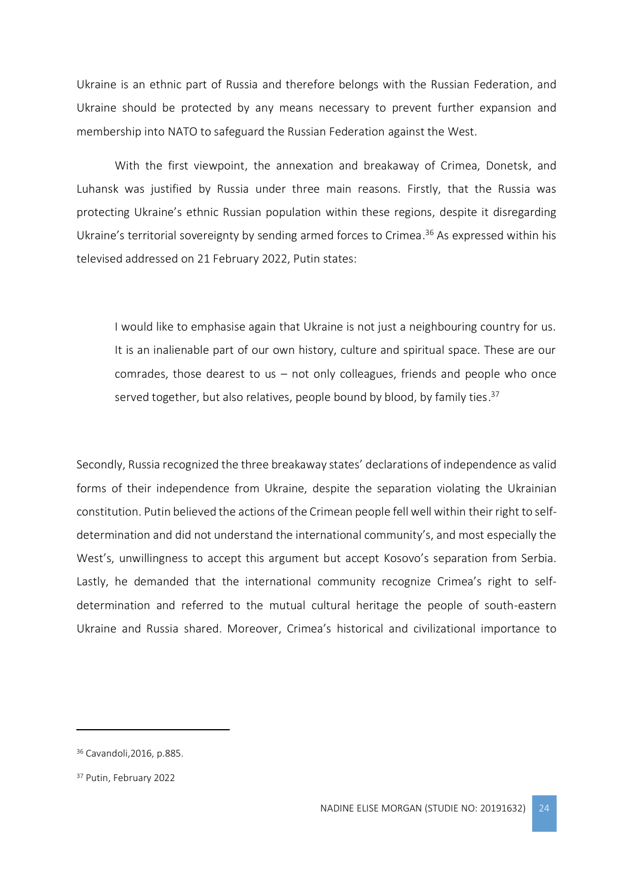Ukraine is an ethnic part of Russia and therefore belongs with the Russian Federation, and Ukraine should be protected by any means necessary to prevent further expansion and membership into NATO to safeguard the Russian Federation against the West.

With the first viewpoint, the annexation and breakaway of Crimea, Donetsk, and Luhansk was justified by Russia under three main reasons. Firstly, that the Russia was protecting Ukraine's ethnic Russian population within these regions, despite it disregarding Ukraine's territorial sovereignty by sending armed forces to Crimea. <sup>36</sup> As expressed within his televised addressed on 21 February 2022, Putin states:

I would like to emphasise again that Ukraine is not just a neighbouring country for us. It is an inalienable part of our own history, culture and spiritual space. These are our comrades, those dearest to us – not only colleagues, friends and people who once served together, but also relatives, people bound by blood, by family ties.<sup>37</sup>

Secondly, Russia recognized the three breakaway states' declarations of independence as valid forms of their independence from Ukraine, despite the separation violating the Ukrainian constitution. Putin believed the actions of the Crimean people fell well within their right to selfdetermination and did not understand the international community's, and most especially the West's, unwillingness to accept this argument but accept Kosovo's separation from Serbia. Lastly, he demanded that the international community recognize Crimea's right to selfdetermination and referred to the mutual cultural heritage the people of south-eastern Ukraine and Russia shared. Moreover, Crimea's historical and civilizational importance to

<sup>36</sup> Cavandoli,2016, p.885.

<sup>37</sup> Putin, February 2022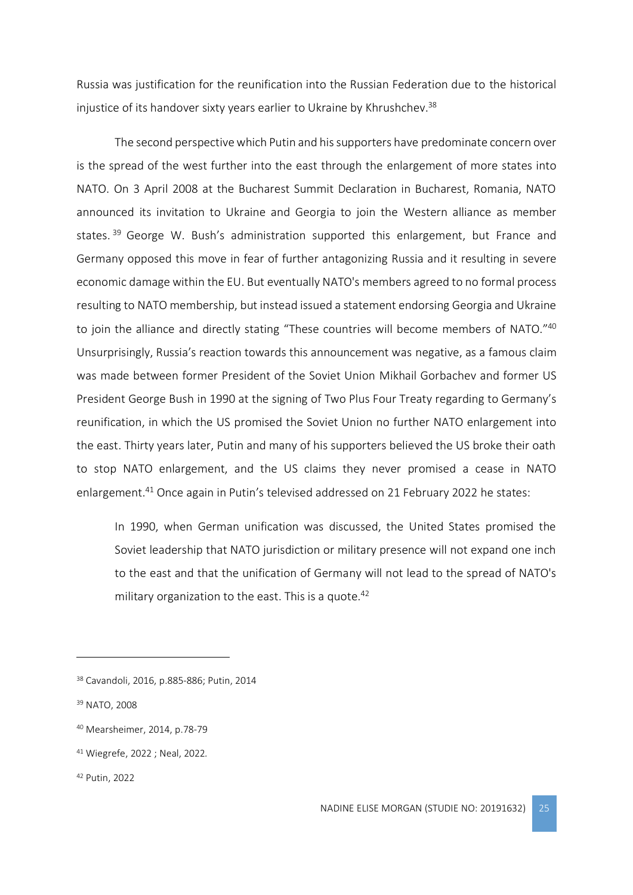Russia was justification for the reunification into the Russian Federation due to the historical injustice of its handover sixty years earlier to Ukraine by Khrushchev. 38

The second perspective which Putin and his supporters have predominate concern over is the spread of the west further into the east through the enlargement of more states into NATO. On 3 April 2008 at the Bucharest Summit Declaration in Bucharest, Romania, NATO announced its invitation to Ukraine and Georgia to join the Western alliance as member states.<sup>39</sup> George W. Bush's administration supported this enlargement, but France and Germany opposed this move in fear of further antagonizing Russia and it resulting in severe economic damage within the EU. But eventually NATO's members agreed to no formal process resulting to NATO membership, but instead issued a statement endorsing Georgia and Ukraine to join the alliance and directly stating "These countries will become members of NATO."40 Unsurprisingly, Russia's reaction towards this announcement was negative, as a famous claim was made between former President of the Soviet Union Mikhail Gorbachev and former US President George Bush in 1990 at the signing of Two Plus Four Treaty regarding to Germany's reunification, in which the US promised the Soviet Union no further NATO enlargement into the east. Thirty years later, Putin and many of his supporters believed the US broke their oath to stop NATO enlargement, and the US claims they never promised a cease in NATO enlargement.<sup>41</sup> Once again in Putin's televised addressed on 21 February 2022 he states:

In 1990, when German unification was discussed, the United States promised the Soviet leadership that NATO jurisdiction or military presence will not expand one inch to the east and that the unification of Germany will not lead to the spread of NATO's military organization to the east. This is a quote.<sup>42</sup>

<sup>38</sup> Cavandoli, 2016, p.885-886; Putin, 2014

<sup>39</sup> NATO, 2008

<sup>40</sup> Mearsheimer, 2014, p.78-79

<sup>41</sup> Wiegrefe, 2022 ; Neal, 2022*.*

<sup>42</sup> Putin, 2022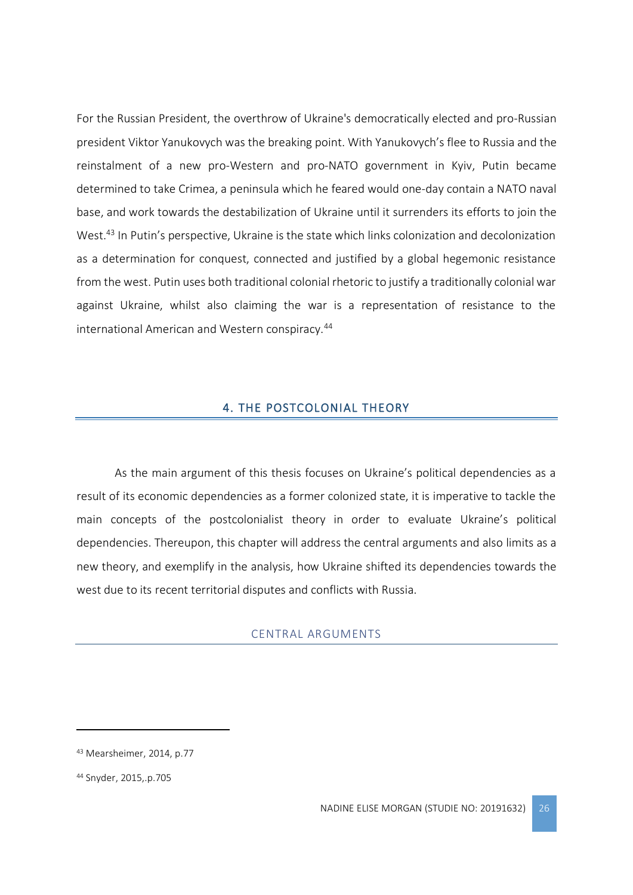For the Russian President, the overthrow of Ukraine's democratically elected and pro-Russian president Viktor Yanukovych was the breaking point. With Yanukovych's flee to Russia and the reinstalment of a new pro-Western and pro-NATO government in Kyiv, Putin became determined to take Crimea, a peninsula which he feared would one-day contain a NATO naval base, and work towards the destabilization of Ukraine until it surrenders its efforts to join the West.<sup>43</sup> In Putin's perspective, Ukraine is the state which links colonization and decolonization as a determination for conquest, connected and justified by a global hegemonic resistance from the west. Putin uses both traditional colonial rhetoric to justify a traditionally colonial war against Ukraine, whilst also claiming the war is a representation of resistance to the international American and Western conspiracy.<sup>44</sup>

# 4. THE POSTCOLONIAL THEORY

<span id="page-26-0"></span>As the main argument of this thesis focuses on Ukraine's political dependencies as a result of its economic dependencies as a former colonized state, it is imperative to tackle the main concepts of the postcolonialist theory in order to evaluate Ukraine's political dependencies. Thereupon, this chapter will address the central arguments and also limits as a new theory, and exemplify in the analysis, how Ukraine shifted its dependencies towards the west due to its recent territorial disputes and conflicts with Russia.

#### CENTRAL ARGUMENTS

<span id="page-26-1"></span><sup>43</sup> Mearsheimer, 2014, p.77

<sup>44</sup> Snyder, 2015,.p.705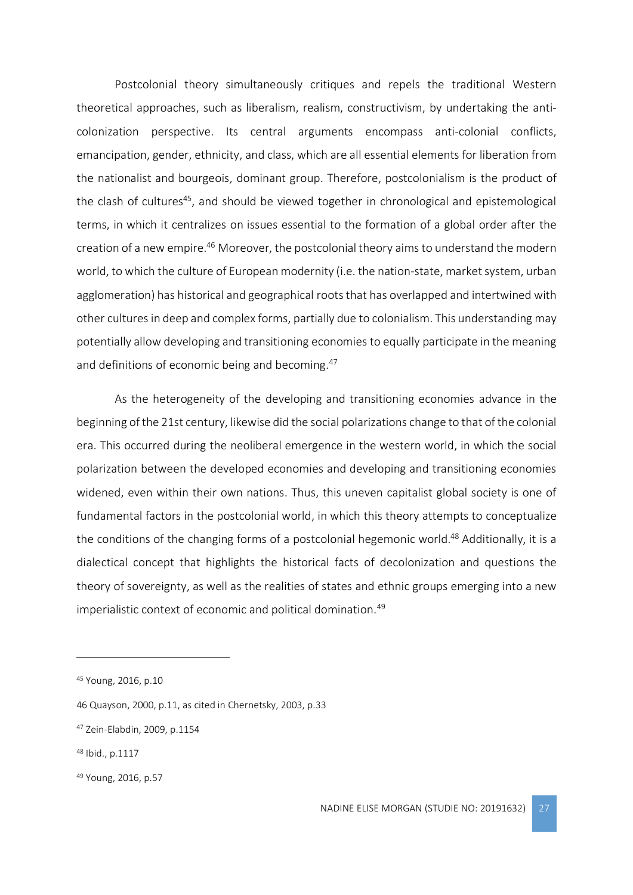Postcolonial theory simultaneously critiques and repels the traditional Western theoretical approaches, such as liberalism, realism, constructivism, by undertaking the anticolonization perspective. Its central arguments encompass anti-colonial conflicts, emancipation, gender, ethnicity, and class, which are all essential elements for liberation from the nationalist and bourgeois, dominant group. Therefore, postcolonialism is the product of the clash of cultures<sup>45</sup>, and should be viewed together in chronological and epistemological terms, in which it centralizes on issues essential to the formation of a global order after the creation of a new empire.<sup>46</sup> Moreover, the postcolonial theory aims to understand the modern world, to which the culture of European modernity (i.e. the nation-state, market system, urban agglomeration) has historical and geographical roots that has overlapped and intertwined with other cultures in deep and complex forms, partially due to colonialism. This understanding may potentially allow developing and transitioning economies to equally participate in the meaning and definitions of economic being and becoming.<sup>47</sup>

As the heterogeneity of the developing and transitioning economies advance in the beginning of the 21st century, likewise did the social polarizations change to that of the colonial era. This occurred during the neoliberal emergence in the western world, in which the social polarization between the developed economies and developing and transitioning economies widened, even within their own nations. Thus, this uneven capitalist global society is one of fundamental factors in the postcolonial world, in which this theory attempts to conceptualize the conditions of the changing forms of a postcolonial hegemonic world.<sup>48</sup> Additionally, it is a dialectical concept that highlights the historical facts of decolonization and questions the theory of sovereignty, as well as the realities of states and ethnic groups emerging into a new imperialistic context of economic and political domination.<sup>49</sup>

<sup>45</sup> Young, 2016, p.10

<sup>46</sup> Quayson, 2000, p.11, as cited in Chernetsky, 2003, p.33

<sup>47</sup> Zein-Elabdin, 2009, p.1154

<sup>48</sup> Ibid., p.1117

<sup>49</sup> Young, 2016, p.57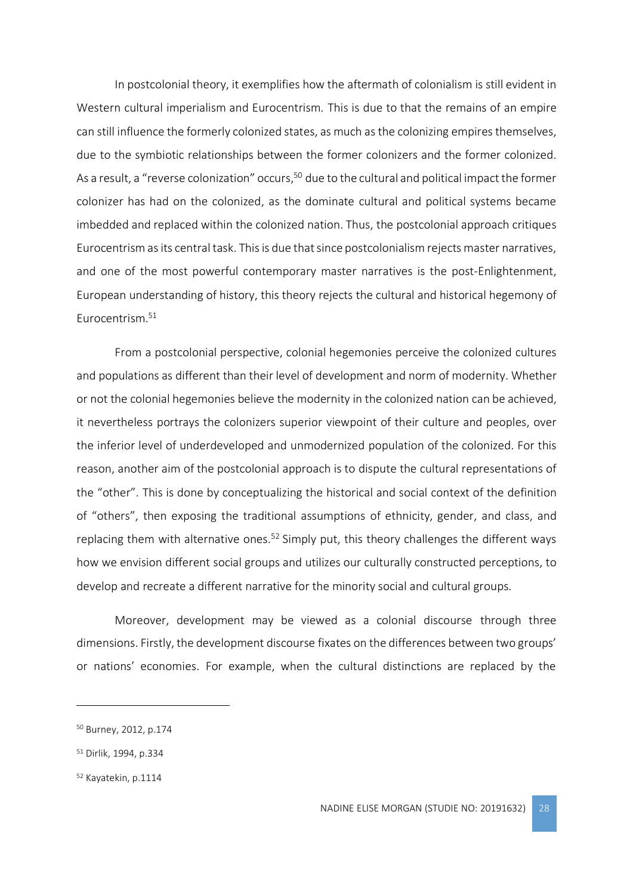In postcolonial theory, it exemplifies how the aftermath of colonialism is still evident in Western cultural imperialism and Eurocentrism. This is due to that the remains of an empire can still influence the formerly colonized states, as much as the colonizing empires themselves, due to the symbiotic relationships between the former colonizers and the former colonized. As a result, a "reverse colonization" occurs,<sup>50</sup> due to the cultural and political impact the former colonizer has had on the colonized, as the dominate cultural and political systems became imbedded and replaced within the colonized nation. Thus, the postcolonial approach critiques Eurocentrism as its central task. This is due that since postcolonialism rejects master narratives, and one of the most powerful contemporary master narratives is the post-Enlightenment, European understanding of history, this theory rejects the cultural and historical hegemony of Eurocentrism. 51

From a postcolonial perspective, colonial hegemonies perceive the colonized cultures and populations as different than their level of development and norm of modernity. Whether or not the colonial hegemonies believe the modernity in the colonized nation can be achieved, it nevertheless portrays the colonizers superior viewpoint of their culture and peoples, over the inferior level of underdeveloped and unmodernized population of the colonized. For this reason, another aim of the postcolonial approach is to dispute the cultural representations of the "other". This is done by conceptualizing the historical and social context of the definition of "others", then exposing the traditional assumptions of ethnicity, gender, and class, and replacing them with alternative ones.<sup>52</sup> Simply put, this theory challenges the different ways how we envision different social groups and utilizes our culturally constructed perceptions, to develop and recreate a different narrative for the minority social and cultural groups.

Moreover, development may be viewed as a colonial discourse through three dimensions. Firstly, the development discourse fixates on the differences between two groups' or nations' economies. For example, when the cultural distinctions are replaced by the

<sup>50</sup> Burney, 2012, p.174

<sup>51</sup> Dirlik, 1994, p.334

<sup>52</sup> Kayatekin, p.1114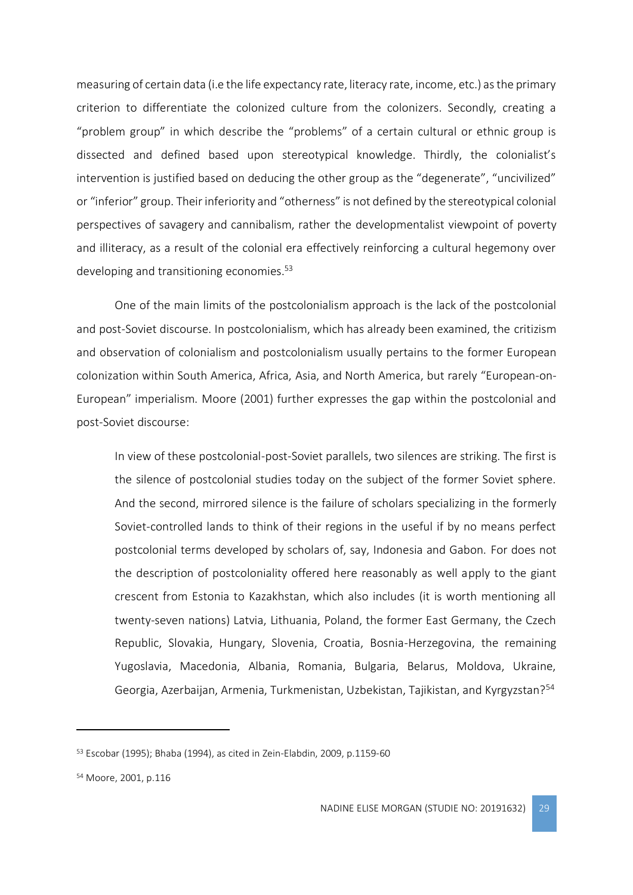measuring of certain data (i.e the life expectancy rate, literacy rate, income, etc.) as the primary criterion to differentiate the colonized culture from the colonizers. Secondly, creating a "problem group" in which describe the "problems" of a certain cultural or ethnic group is dissected and defined based upon stereotypical knowledge. Thirdly, the colonialist's intervention is justified based on deducing the other group as the "degenerate", "uncivilized" or "inferior" group. Their inferiority and "otherness" is not defined by the stereotypical colonial perspectives of savagery and cannibalism, rather the developmentalist viewpoint of poverty and illiteracy, as a result of the colonial era effectively reinforcing a cultural hegemony over developing and transitioning economies.<sup>53</sup>

One of the main limits of the postcolonialism approach is the lack of the postcolonial and post-Soviet discourse. In postcolonialism, which has already been examined, the critizism and observation of colonialism and postcolonialism usually pertains to the former European colonization within South America, Africa, Asia, and North America, but rarely "European-on-European" imperialism. Moore (2001) further expresses the gap within the postcolonial and post-Soviet discourse:

In view of these postcolonial-post-Soviet parallels, two silences are striking. The first is the silence of postcolonial studies today on the subject of the former Soviet sphere. And the second, mirrored silence is the failure of scholars specializing in the formerly Soviet-controlled lands to think of their regions in the useful if by no means perfect postcolonial terms developed by scholars of, say, Indonesia and Gabon. For does not the description of postcoloniality offered here reasonably as well apply to the giant crescent from Estonia to Kazakhstan, which also includes (it is worth mentioning all twenty-seven nations) Latvia, Lithuania, Poland, the former East Germany, the Czech Republic, Slovakia, Hungary, Slovenia, Croatia, Bosnia-Herzegovina, the remaining Yugoslavia, Macedonia, Albania, Romania, Bulgaria, Belarus, Moldova, Ukraine, Georgia, Azerbaijan, Armenia, Turkmenistan, Uzbekistan, Tajikistan, and Kyrgyzstan?<sup>54</sup>

<sup>53</sup> Escobar (1995); Bhaba (1994), as cited in Zein-Elabdin, 2009, p.1159-60

<sup>54</sup> Moore, 2001, p.116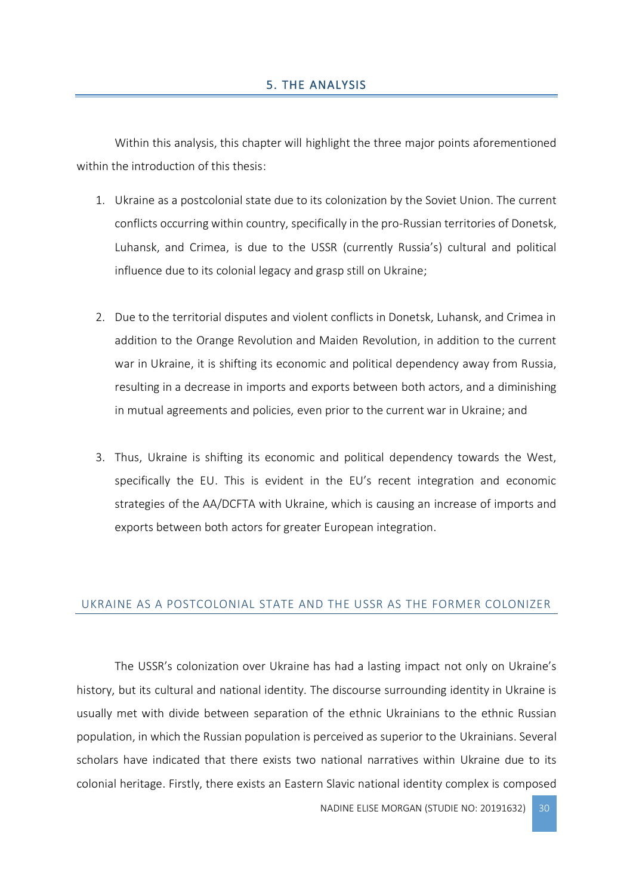<span id="page-30-0"></span>Within this analysis, this chapter will highlight the three major points aforementioned within the introduction of this thesis:

- 1. Ukraine as a postcolonial state due to its colonization by the Soviet Union. The current conflicts occurring within country, specifically in the pro-Russian territories of Donetsk, Luhansk, and Crimea, is due to the USSR (currently Russia's) cultural and political influence due to its colonial legacy and grasp still on Ukraine;
- 2. Due to the territorial disputes and violent conflicts in Donetsk, Luhansk, and Crimea in addition to the Orange Revolution and Maiden Revolution, in addition to the current war in Ukraine, it is shifting its economic and political dependency away from Russia, resulting in a decrease in imports and exports between both actors, and a diminishing in mutual agreements and policies, even prior to the current war in Ukraine; and
- 3. Thus, Ukraine is shifting its economic and political dependency towards the West, specifically the EU. This is evident in the EU's recent integration and economic strategies of the AA/DCFTA with Ukraine, which is causing an increase of imports and exports between both actors for greater European integration.

# <span id="page-30-1"></span>UKRAINE AS A POSTCOLONIAL STATE AND THE USSR AS THE FORMER COLONIZER

The USSR's colonization over Ukraine has had a lasting impact not only on Ukraine's history, but its cultural and national identity. The discourse surrounding identity in Ukraine is usually met with divide between separation of the ethnic Ukrainians to the ethnic Russian population, in which the Russian population is perceived as superior to the Ukrainians. Several scholars have indicated that there exists two national narratives within Ukraine due to its colonial heritage. Firstly, there exists an Eastern Slavic national identity complex is composed

NADINE ELISE MORGAN (STUDIE NO: 20191632) 30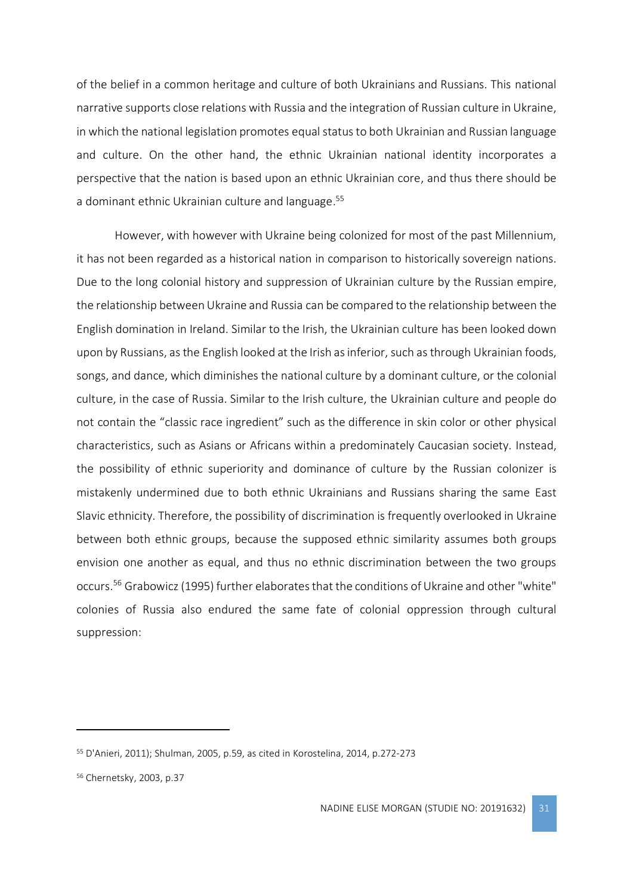of the belief in a common heritage and culture of both Ukrainians and Russians. This national narrative supports close relations with Russia and the integration of Russian culture in Ukraine, in which the national legislation promotes equal status to both Ukrainian and Russian language and culture. On the other hand, the ethnic Ukrainian national identity incorporates a perspective that the nation is based upon an ethnic Ukrainian core, and thus there should be a dominant ethnic Ukrainian culture and language.<sup>55</sup>

However, with however with Ukraine being colonized for most of the past Millennium, it has not been regarded as a historical nation in comparison to historically sovereign nations. Due to the long colonial history and suppression of Ukrainian culture by the Russian empire, the relationship between Ukraine and Russia can be compared to the relationship between the English domination in Ireland. Similar to the Irish, the Ukrainian culture has been looked down upon by Russians, as the English looked at the Irish as inferior, such as through Ukrainian foods, songs, and dance, which diminishes the national culture by a dominant culture, or the colonial culture, in the case of Russia. Similar to the Irish culture, the Ukrainian culture and people do not contain the "classic race ingredient" such as the difference in skin color or other physical characteristics, such as Asians or Africans within a predominately Caucasian society. Instead, the possibility of ethnic superiority and dominance of culture by the Russian colonizer is mistakenly undermined due to both ethnic Ukrainians and Russians sharing the same East Slavic ethnicity. Therefore, the possibility of discrimination is frequently overlooked in Ukraine between both ethnic groups, because the supposed ethnic similarity assumes both groups envision one another as equal, and thus no ethnic discrimination between the two groups occurs.<sup>56</sup> Grabowicz (1995) further elaborates that the conditions of Ukraine and other "white" colonies of Russia also endured the same fate of colonial oppression through cultural suppression:

<sup>55</sup> D'Anieri, 2011); Shulman, 2005, p.59, as cited in Korostelina, 2014, p.272-273

<sup>56</sup> Chernetsky, 2003, p.37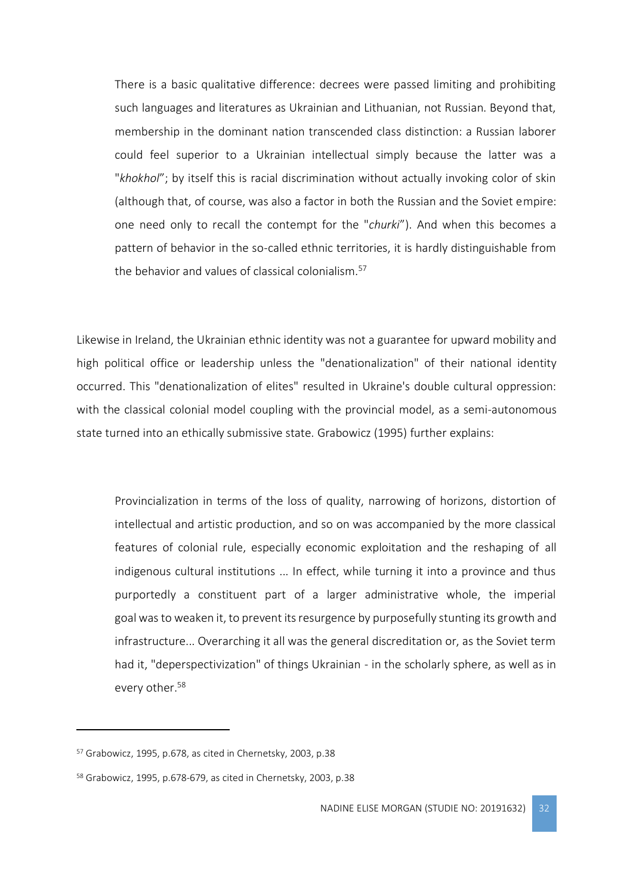There is a basic qualitative difference: decrees were passed limiting and prohibiting such languages and literatures as Ukrainian and Lithuanian, not Russian. Beyond that, membership in the dominant nation transcended class distinction: a Russian laborer could feel superior to a Ukrainian intellectual simply because the latter was a "*khokhol*"; by itself this is racial discrimination without actually invoking color of skin (although that, of course, was also a factor in both the Russian and the Soviet empire: one need only to recall the contempt for the "*churki*"). And when this becomes a pattern of behavior in the so-called ethnic territories, it is hardly distinguishable from the behavior and values of classical colonialism.<sup>57</sup>

Likewise in Ireland, the Ukrainian ethnic identity was not a guarantee for upward mobility and high political office or leadership unless the "denationalization" of their national identity occurred. This "denationalization of elites" resulted in Ukraine's double cultural oppression: with the classical colonial model coupling with the provincial model, as a semi-autonomous state turned into an ethically submissive state. Grabowicz (1995) further explains:

Provincialization in terms of the loss of quality, narrowing of horizons, distortion of intellectual and artistic production, and so on was accompanied by the more classical features of colonial rule, especially economic exploitation and the reshaping of all indigenous cultural institutions ... In effect, while turning it into a province and thus purportedly a constituent part of a larger administrative whole, the imperial goal was to weaken it, to prevent its resurgence by purposefully stunting its growth and infrastructure... Overarching it all was the general discreditation or, as the Soviet term had it, "deperspectivization" of things Ukrainian - in the scholarly sphere, as well as in every other.<sup>58</sup>

<sup>57</sup> Grabowicz, 1995, p.678, as cited in Chernetsky, 2003, p.38

<sup>58</sup> Grabowicz, 1995, p.678-679, as cited in Chernetsky, 2003, p.38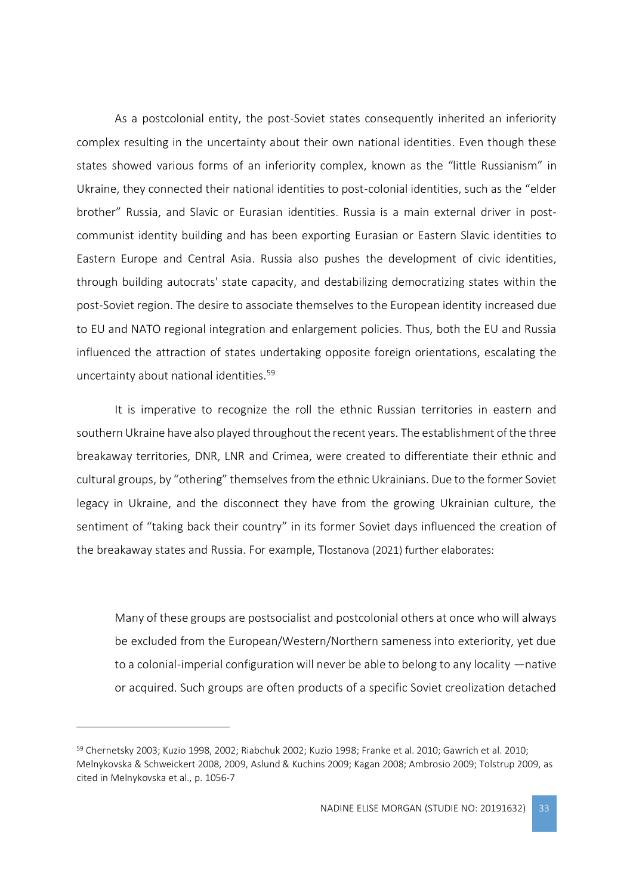As a postcolonial entity, the post-Soviet states consequently inherited an inferiority complex resulting in the uncertainty about their own national identities. Even though these states showed various forms of an inferiority complex, known as the "little Russianism" in Ukraine, they connected their national identities to post-colonial identities, such as the "elder brother" Russia, and Slavic or Eurasian identities. Russia is a main external driver in postcommunist identity building and has been exporting Eurasian or Eastern Slavic identities to Eastern Europe and Central Asia. Russia also pushes the development of civic identities, through building autocrats' state capacity, and destabilizing democratizing states within the post-Soviet region. The desire to associate themselves to the European identity increased due to EU and NATO regional integration and enlargement policies. Thus, both the EU and Russia influenced the attraction of states undertaking opposite foreign orientations, escalating the uncertainty about national identities.<sup>59</sup>

It is imperative to recognize the roll the ethnic Russian territories in eastern and southern Ukraine have also played throughout the recent years. The establishment of the three breakaway territories, DNR, LNR and Crimea, were created to differentiate their ethnic and cultural groups, by "othering" themselves from the ethnic Ukrainians. Due to the former Soviet legacy in Ukraine, and the disconnect they have from the growing Ukrainian culture, the sentiment of "taking back their country" in its former Soviet days influenced the creation of the breakaway states and Russia. For example, Tlostanova (2021) further elaborates:

Many of these groups are postsocialist and postcolonial others at once who will always be excluded from the European/Western/Northern sameness into exteriority, yet due to a colonial-imperial configuration will never be able to belong to any locality —native or acquired. Such groups are often products of a specific Soviet creolization detached

<sup>59</sup> Chernetsky 2003; Kuzio 1998, 2002; Riabchuk 2002; Kuzio 1998; Franke et al. 2010; Gawrich et al. 2010; Melnykovska & Schweickert 2008, 2009, Aslund & Kuchins 2009; Kagan 2008; Ambrosio 2009; Tolstrup 2009, as cited in Melnykovska et al., p. 1056-7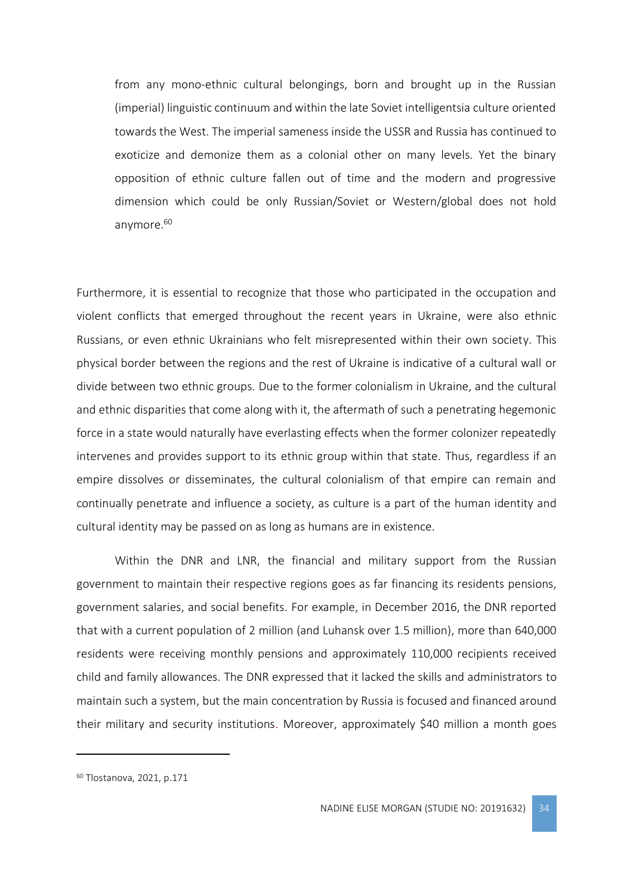from any mono-ethnic cultural belongings, born and brought up in the Russian (imperial) linguistic continuum and within the late Soviet intelligentsia culture oriented towards the West. The imperial sameness inside the USSR and Russia has continued to exoticize and demonize them as a colonial other on many levels. Yet the binary opposition of ethnic culture fallen out of time and the modern and progressive dimension which could be only Russian/Soviet or Western/global does not hold anymore.<sup>60</sup>

Furthermore, it is essential to recognize that those who participated in the occupation and violent conflicts that emerged throughout the recent years in Ukraine, were also ethnic Russians, or even ethnic Ukrainians who felt misrepresented within their own society. This physical border between the regions and the rest of Ukraine is indicative of a cultural wall or divide between two ethnic groups. Due to the former colonialism in Ukraine, and the cultural and ethnic disparities that come along with it, the aftermath of such a penetrating hegemonic force in a state would naturally have everlasting effects when the former colonizer repeatedly intervenes and provides support to its ethnic group within that state. Thus, regardless if an empire dissolves or disseminates, the cultural colonialism of that empire can remain and continually penetrate and influence a society, as culture is a part of the human identity and cultural identity may be passed on as long as humans are in existence.

Within the DNR and LNR, the financial and military support from the Russian government to maintain their respective regions goes as far financing its residents pensions, government salaries, and social benefits. For example, in December 2016, the DNR reported that with a current population of 2 million (and Luhansk over 1.5 million), more than 640,000 residents were receiving monthly pensions and approximately 110,000 recipients received child and family allowances. The DNR expressed that it lacked the skills and administrators to maintain such a system, but the main concentration by Russia is focused and financed around their military and security institutions. Moreover, approximately \$40 million a month goes

<sup>60</sup> Tlostanova, 2021, p.171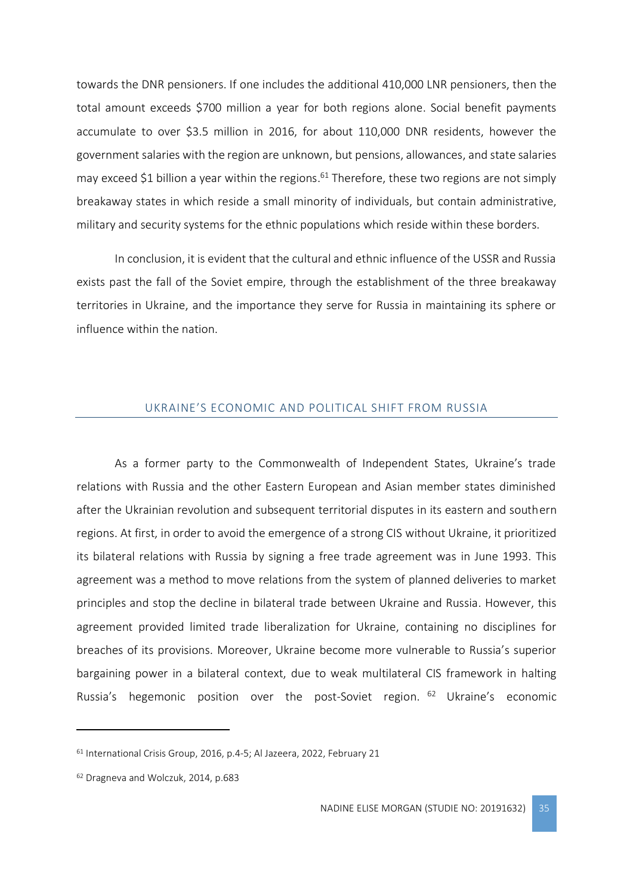towards the DNR pensioners. If one includes the additional 410,000 LNR pensioners, then the total amount exceeds \$700 million a year for both regions alone. Social benefit payments accumulate to over \$3.5 million in 2016, for about 110,000 DNR residents, however the government salaries with the region are unknown, but pensions, allowances, and state salaries may exceed \$1 billion a year within the regions.<sup>61</sup> Therefore, these two regions are not simply breakaway states in which reside a small minority of individuals, but contain administrative, military and security systems for the ethnic populations which reside within these borders.

In conclusion, it is evident that the cultural and ethnic influence of the USSR and Russia exists past the fall of the Soviet empire, through the establishment of the three breakaway territories in Ukraine, and the importance they serve for Russia in maintaining its sphere or influence within the nation.

#### UKRAINE'S ECONOMIC AND POLITICAL SHIFT FROM RUSSIA

<span id="page-35-0"></span>As a former party to the Commonwealth of Independent States, Ukraine's trade relations with Russia and the other Eastern European and Asian member states diminished after the Ukrainian revolution and subsequent territorial disputes in its eastern and southern regions. At first, in order to avoid the emergence of a strong CIS without Ukraine, it prioritized its bilateral relations with Russia by signing a free trade agreement was in June 1993. This agreement was a method to move relations from the system of planned deliveries to market principles and stop the decline in bilateral trade between Ukraine and Russia. However, this agreement provided limited trade liberalization for Ukraine, containing no disciplines for breaches of its provisions. Moreover, Ukraine become more vulnerable to Russia's superior bargaining power in a bilateral context, due to weak multilateral CIS framework in halting Russia's hegemonic position over the post-Soviet region. <sup>62</sup> Ukraine's economic

<sup>61</sup> International Crisis Group, 2016, p.4-5; Al Jazeera, 2022, February 21

<sup>62</sup> Dragneva and Wolczuk, 2014, p.683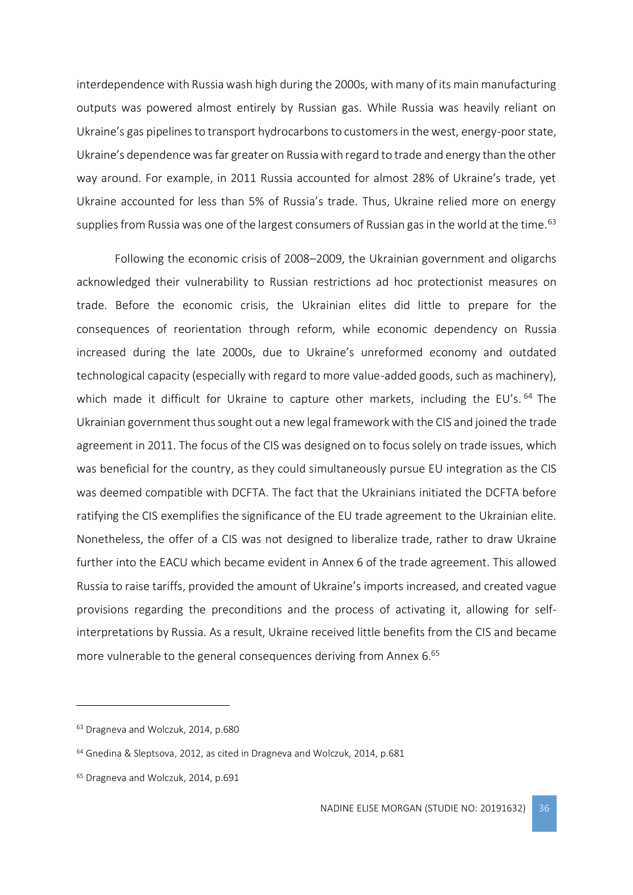interdependence with Russia wash high during the 2000s, with many of its main manufacturing outputs was powered almost entirely by Russian gas. While Russia was heavily reliant on Ukraine's gas pipelines to transport hydrocarbons to customers in the west, energy-poor state, Ukraine's dependence was far greater on Russia with regard to trade and energy than the other way around. For example, in 2011 Russia accounted for almost 28% of Ukraine's trade, yet Ukraine accounted for less than 5% of Russia's trade. Thus, Ukraine relied more on energy supplies from Russia was one of the largest consumers of Russian gas in the world at the time.<sup>63</sup>

Following the economic crisis of 2008–2009, the Ukrainian government and oligarchs acknowledged their vulnerability to Russian restrictions ad hoc protectionist measures on trade. Before the economic crisis, the Ukrainian elites did little to prepare for the consequences of reorientation through reform, while economic dependency on Russia increased during the late 2000s, due to Ukraine's unreformed economy and outdated technological capacity (especially with regard to more value-added goods, such as machinery), which made it difficult for Ukraine to capture other markets, including the EU's. <sup>64</sup> The Ukrainian government thus sought out a new legal framework with the CIS and joined the trade agreement in 2011. The focus of the CIS was designed on to focus solely on trade issues, which was beneficial for the country, as they could simultaneously pursue EU integration as the CIS was deemed compatible with DCFTA. The fact that the Ukrainians initiated the DCFTA before ratifying the CIS exemplifies the significance of the EU trade agreement to the Ukrainian elite. Nonetheless, the offer of a CIS was not designed to liberalize trade, rather to draw Ukraine further into the EACU which became evident in Annex 6 of the trade agreement. This allowed Russia to raise tariffs, provided the amount of Ukraine's imports increased, and created vague provisions regarding the preconditions and the process of activating it, allowing for selfinterpretations by Russia. As a result, Ukraine received little benefits from the CIS and became more vulnerable to the general consequences deriving from Annex 6. 65

<sup>63</sup> Dragneva and Wolczuk, 2014, p.680

<sup>64</sup> Gnedina & Sleptsova, 2012, as cited in Dragneva and Wolczuk, 2014, p.681

<sup>&</sup>lt;sup>65</sup> Dragneva and Wolczuk, 2014, p.691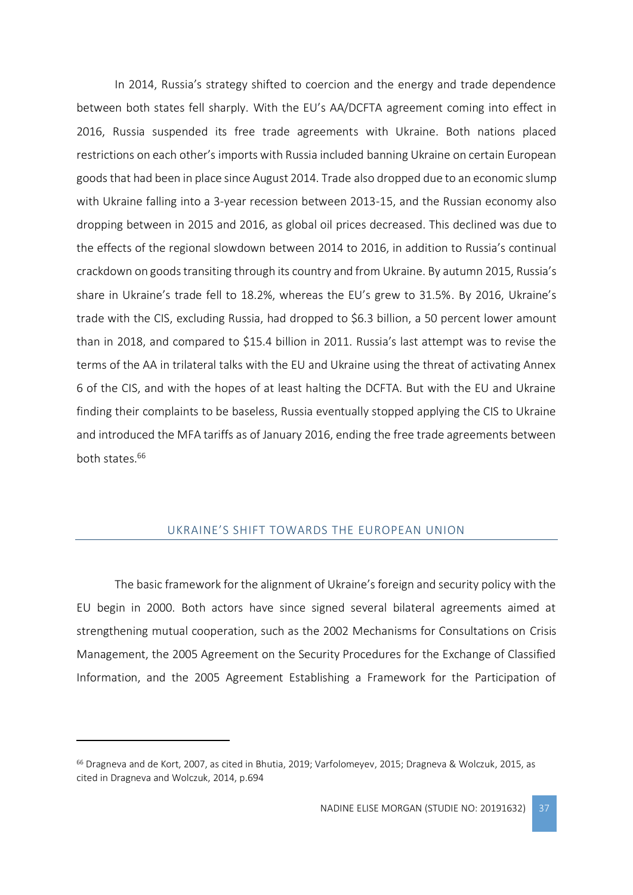In 2014, Russia's strategy shifted to coercion and the energy and trade dependence between both states fell sharply. With the EU's AA/DCFTA agreement coming into effect in 2016, Russia suspended its free trade agreements with Ukraine. Both nations placed restrictions on each other's imports with Russia included banning Ukraine on certain European goods that had been in place since August 2014. Trade also dropped due to an economic slump with Ukraine falling into a 3-year recession between 2013-15, and the Russian economy also dropping between in 2015 and 2016, as global oil prices decreased. This declined was due to the effects of the regional slowdown between 2014 to 2016, in addition to Russia's continual crackdown on goods transiting through its country and from Ukraine. By autumn 2015, Russia's share in Ukraine's trade fell to 18.2%, whereas the EU's grew to 31.5%. By 2016, Ukraine's trade with the CIS, excluding Russia, had dropped to \$6.3 billion, a 50 percent lower amount than in 2018, and compared to \$15.4 billion in 2011. Russia's last attempt was to revise the terms of the AA in trilateral talks with the EU and Ukraine using the threat of activating Annex 6 of the CIS, and with the hopes of at least halting the DCFTA. But with the EU and Ukraine finding their complaints to be baseless, Russia eventually stopped applying the CIS to Ukraine and introduced the MFA tariffs as of January 2016, ending the free trade agreements between both states.<sup>66</sup>

# UKRAINE'S SHIFT TOWARDS THE EUROPEAN UNION

<span id="page-37-0"></span>The basic framework for the alignment of Ukraine's foreign and security policy with the EU begin in 2000. Both actors have since signed several bilateral agreements aimed at strengthening mutual cooperation, such as the 2002 Mechanisms for Consultations on Crisis Management, the 2005 Agreement on the Security Procedures for the Exchange of Classified Information, and the 2005 Agreement Establishing a Framework for the Participation of

<sup>66</sup> Dragneva and de Kort, 2007, as cited in Bhutia, 2019; Varfolomeyev, 2015; Dragneva & Wolczuk, 2015, as cited in Dragneva and Wolczuk, 2014, p.694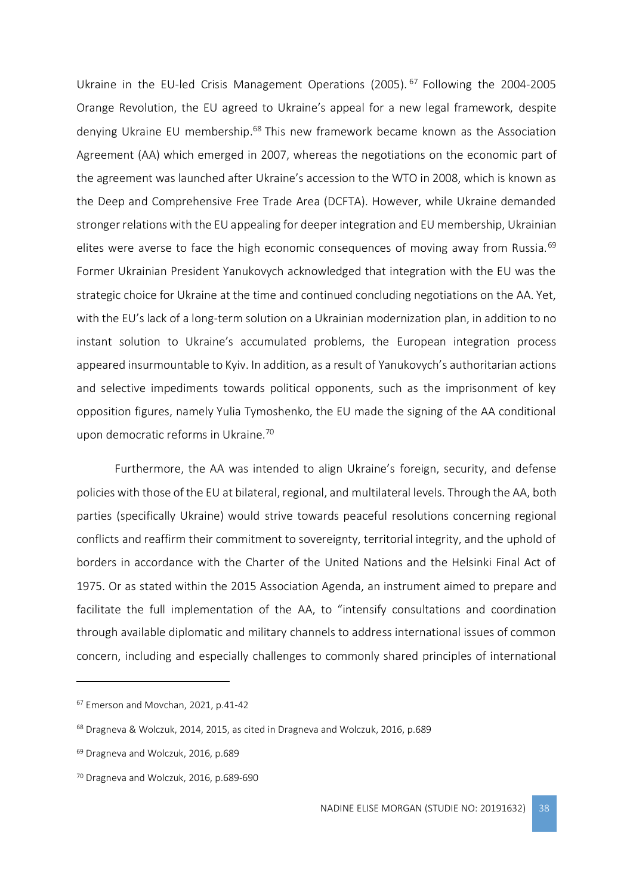Ukraine in the EU-led Crisis Management Operations (2005). <sup>67</sup> Following the 2004-2005 Orange Revolution, the EU agreed to Ukraine's appeal for a new legal framework, despite denying Ukraine EU membership.<sup>68</sup> This new framework became known as the Association Agreement (AA) which emerged in 2007, whereas the negotiations on the economic part of the agreement was launched after Ukraine's accession to the WTO in 2008, which is known as the Deep and Comprehensive Free Trade Area (DCFTA). However, while Ukraine demanded stronger relations with the EU appealing for deeper integration and EU membership, Ukrainian elites were averse to face the high economic consequences of moving away from Russia.<sup>69</sup> Former Ukrainian President Yanukovych acknowledged that integration with the EU was the strategic choice for Ukraine at the time and continued concluding negotiations on the AA. Yet, with the EU's lack of a long-term solution on a Ukrainian modernization plan, in addition to no instant solution to Ukraine's accumulated problems, the European integration process appeared insurmountable to Kyiv. In addition, as a result of Yanukovych's authoritarian actions and selective impediments towards political opponents, such as the imprisonment of key opposition figures, namely Yulia Tymoshenko, the EU made the signing of the AA conditional upon democratic reforms in Ukraine.<sup>70</sup>

Furthermore, the AA was intended to align Ukraine's foreign, security, and defense policies with those of the EU at bilateral, regional, and multilateral levels. Through the AA, both parties (specifically Ukraine) would strive towards peaceful resolutions concerning regional conflicts and reaffirm their commitment to sovereignty, territorial integrity, and the uphold of borders in accordance with the Charter of the United Nations and the Helsinki Final Act of 1975. Or as stated within the 2015 Association Agenda, an instrument aimed to prepare and facilitate the full implementation of the AA, to "intensify consultations and coordination through available diplomatic and military channels to address international issues of common concern, including and especially challenges to commonly shared principles of international

<sup>67</sup> Emerson and Movchan, 2021, p.41-42

<sup>68</sup> Dragneva & Wolczuk, 2014, 2015, as cited in Dragneva and Wolczuk, 2016, p.689

<sup>69</sup> Dragneva and Wolczuk, 2016, p.689

<sup>70</sup> Dragneva and Wolczuk, 2016, p.689-690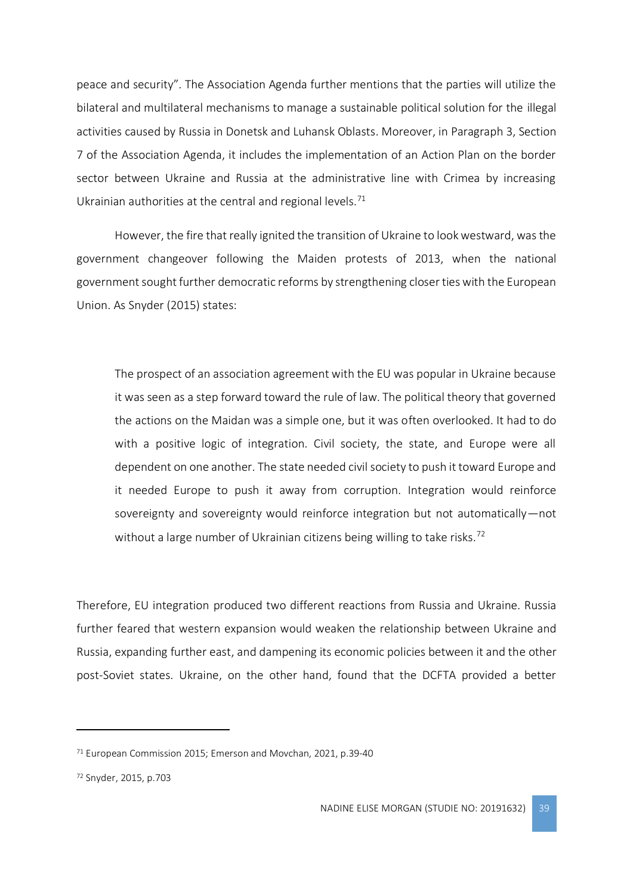peace and security". The Association Agenda further mentions that the parties will utilize the bilateral and multilateral mechanisms to manage a sustainable political solution for the illegal activities caused by Russia in Donetsk and Luhansk Oblasts. Moreover, in Paragraph 3, Section 7 of the Association Agenda, it includes the implementation of an Action Plan on the border sector between Ukraine and Russia at the administrative line with Crimea by increasing Ukrainian authorities at the central and regional levels.<sup>71</sup>

However, the fire that really ignited the transition of Ukraine to look westward, was the government changeover following the Maiden protests of 2013, when the national government sought further democratic reforms by strengthening closer ties with the European Union. As Snyder (2015) states:

The prospect of an association agreement with the EU was popular in Ukraine because it was seen as a step forward toward the rule of law. The political theory that governed the actions on the Maidan was a simple one, but it was often overlooked. It had to do with a positive logic of integration. Civil society, the state, and Europe were all dependent on one another. The state needed civil society to push it toward Europe and it needed Europe to push it away from corruption. Integration would reinforce sovereignty and sovereignty would reinforce integration but not automatically—not without a large number of Ukrainian citizens being willing to take risks.<sup>72</sup>

Therefore, EU integration produced two different reactions from Russia and Ukraine. Russia further feared that western expansion would weaken the relationship between Ukraine and Russia, expanding further east, and dampening its economic policies between it and the other post-Soviet states. Ukraine, on the other hand, found that the DCFTA provided a better

<sup>71</sup> European Commission 2015; Emerson and Movchan, 2021, p.39-40

<sup>72</sup> Snyder, 2015, p.703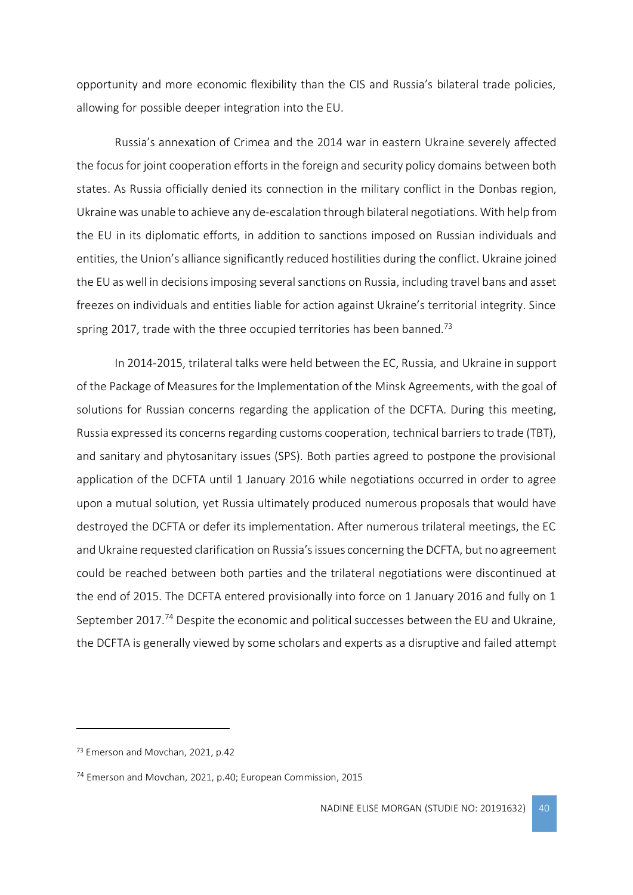opportunity and more economic flexibility than the CIS and Russia's bilateral trade policies, allowing for possible deeper integration into the EU.

Russia's annexation of Crimea and the 2014 war in eastern Ukraine severely affected the focus for joint cooperation efforts in the foreign and security policy domains between both states. As Russia officially denied its connection in the military conflict in the Donbas region, Ukraine was unable to achieve any de-escalation through bilateral negotiations. With help from the EU in its diplomatic efforts, in addition to sanctions imposed on Russian individuals and entities, the Union's alliance significantly reduced hostilities during the conflict. Ukraine joined the EU as well in decisions imposing several sanctions on Russia, including travel bans and asset freezes on individuals and entities liable for action against Ukraine's territorial integrity. Since spring 2017, trade with the three occupied territories has been banned.<sup>73</sup>

In 2014-2015, trilateral talks were held between the EC, Russia, and Ukraine in support of the Package of Measures for the Implementation of the Minsk Agreements, with the goal of solutions for Russian concerns regarding the application of the DCFTA. During this meeting, Russia expressed its concerns regarding customs cooperation, technical barriers to trade (TBT), and sanitary and phytosanitary issues (SPS). Both parties agreed to postpone the provisional application of the DCFTA until 1 January 2016 while negotiations occurred in order to agree upon a mutual solution, yet Russia ultimately produced numerous proposals that would have destroyed the DCFTA or defer its implementation. After numerous trilateral meetings, the EC and Ukraine requested clarification on Russia's issues concerning the DCFTA, but no agreement could be reached between both parties and the trilateral negotiations were discontinued at the end of 2015. The DCFTA entered provisionally into force on 1 January 2016 and fully on 1 September 2017.<sup>74</sup> Despite the economic and political successes between the EU and Ukraine, the DCFTA is generally viewed by some scholars and experts as a disruptive and failed attempt

<sup>73</sup> Emerson and Movchan, 2021, p.42

<sup>74</sup> Emerson and Movchan, 2021, p.40; European Commission, 2015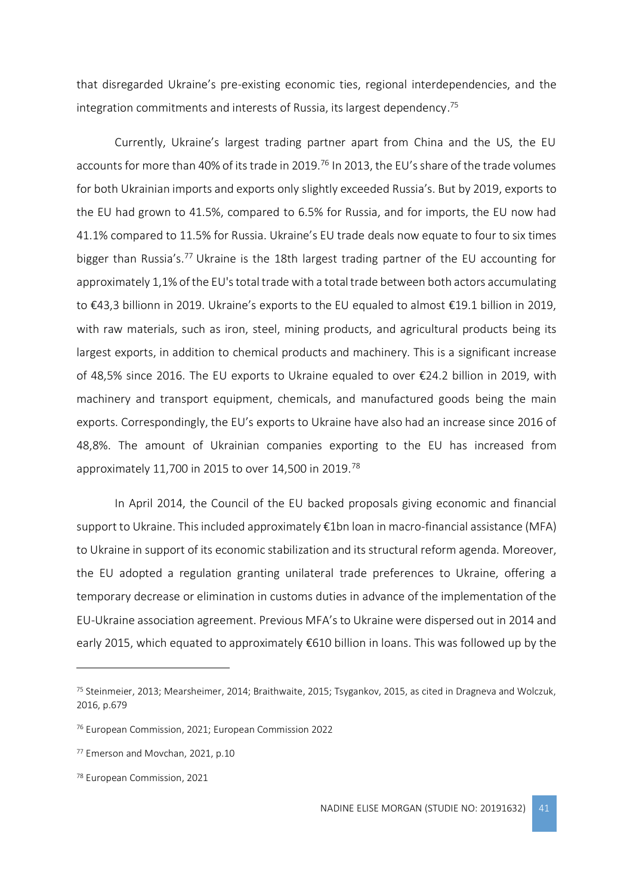that disregarded Ukraine's pre-existing economic ties, regional interdependencies, and the integration commitments and interests of Russia, its largest dependency. 75

Currently, Ukraine's largest trading partner apart from China and the US, the EU accounts for more than 40% of its trade in 2019.<sup>76</sup> In 2013, the EU's share of the trade volumes for both Ukrainian imports and exports only slightly exceeded Russia's. But by 2019, exports to the EU had grown to 41.5%, compared to 6.5% for Russia, and for imports, the EU now had 41.1% compared to 11.5% for Russia. Ukraine's EU trade deals now equate to four to six times bigger than Russia's.<sup>77</sup> Ukraine is the 18th largest trading partner of the EU accounting for approximately 1,1% of the EU's total trade with a total trade between both actors accumulating to €43,3 billionn in 2019. Ukraine's exports to the EU equaled to almost €19.1 billion in 2019, with raw materials, such as iron, steel, mining products, and agricultural products being its largest exports, in addition to chemical products and machinery. This is a significant increase of 48,5% since 2016. The EU exports to Ukraine equaled to over €24.2 billion in 2019, with machinery and transport equipment, chemicals, and manufactured goods being the main exports. Correspondingly, the EU's exports to Ukraine have also had an increase since 2016 of 48,8%. The amount of Ukrainian companies exporting to the EU has increased from approximately 11,700 in 2015 to over 14,500 in 2019.<sup>78</sup>

In April 2014, the Council of the EU backed proposals giving economic and financial support to Ukraine. This included approximately €1bn loan in macro-financial assistance (MFA) to Ukraine in support of its economic stabilization and its structural reform agenda. Moreover, the EU adopted a regulation granting unilateral trade preferences to Ukraine, offering a temporary decrease or elimination in customs duties in advance of the implementation of the EU-Ukraine association agreement. Previous MFA's to Ukraine were dispersed out in 2014 and early 2015, which equated to approximately €610 billion in loans. This was followed up by the

<sup>75</sup> Steinmeier, 2013; Mearsheimer, 2014; Braithwaite, 2015; Tsygankov, 2015, as cited in Dragneva and Wolczuk, 2016, p.679

<sup>76</sup> European Commission, 2021; European Commission 2022

<sup>77</sup> Emerson and Movchan, 2021, p.10

<sup>78</sup> European Commission, 2021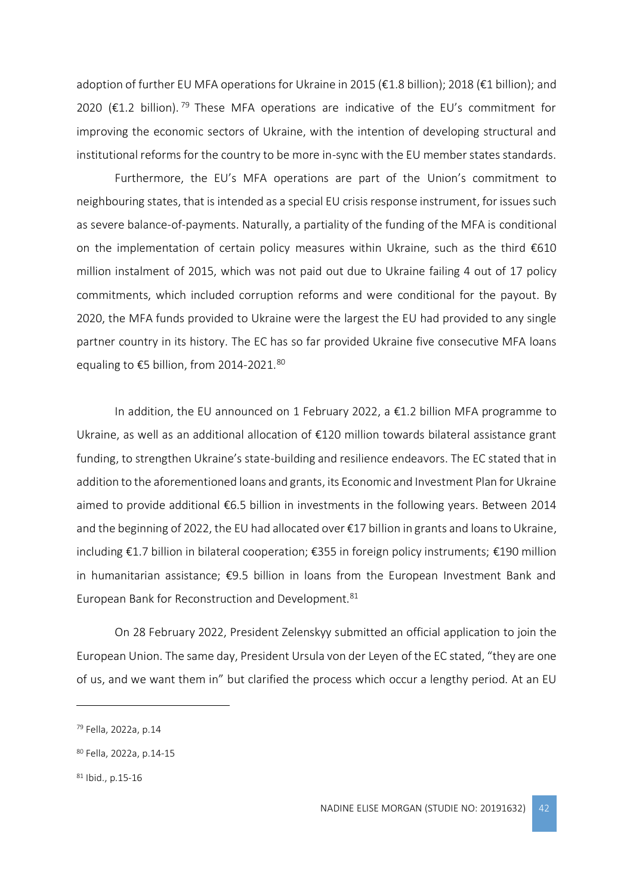adoption of further EU MFA operations for Ukraine in 2015 (€1.8 billion); 2018 (€1 billion); and 2020 ( $\epsilon$ 1.2 billion).<sup>79</sup> These MFA operations are indicative of the EU's commitment for improving the economic sectors of Ukraine, with the intention of developing structural and institutional reforms for the country to be more in-sync with the EU member states standards.

Furthermore, the EU's MFA operations are part of the Union's commitment to neighbouring states, that is intended as a special EU crisis response instrument, for issues such as severe balance-of-payments. Naturally, a partiality of the funding of the MFA is conditional on the implementation of certain policy measures within Ukraine, such as the third  $\epsilon$ 610 million instalment of 2015, which was not paid out due to Ukraine failing 4 out of 17 policy commitments, which included corruption reforms and were conditional for the payout. By 2020, the MFA funds provided to Ukraine were the largest the EU had provided to any single partner country in its history. The EC has so far provided Ukraine five consecutive MFA loans equaling to €5 billion, from 2014-2021.<sup>80</sup>

In addition, the EU announced on 1 February 2022, a €1.2 billion MFA programme to Ukraine, as well as an additional allocation of €120 million towards bilateral assistance grant funding, to strengthen Ukraine's state-building and resilience endeavors. The EC stated that in addition to the aforementioned loans and grants, its Economic and Investment Plan for Ukraine aimed to provide additional €6.5 billion in investments in the following years. Between 2014 and the beginning of 2022, the EU had allocated over €17 billion in grants and loans to Ukraine, including €1.7 billion in bilateral cooperation; €355 in foreign policy instruments; €190 million in humanitarian assistance; €9.5 billion in loans from the European Investment Bank and European Bank for Reconstruction and Development.<sup>81</sup>

On 28 February 2022, President Zelenskyy submitted an official application to join the European Union. The same day, President Ursula von der Leyen of the EC stated, "they are one of us, and we want them in" but clarified the process which occur a lengthy period. At an EU

<sup>79</sup> Fella, 2022a, p.14

<sup>80</sup> Fella, 2022a, p.14-15

<sup>81</sup> Ibid., p.15-16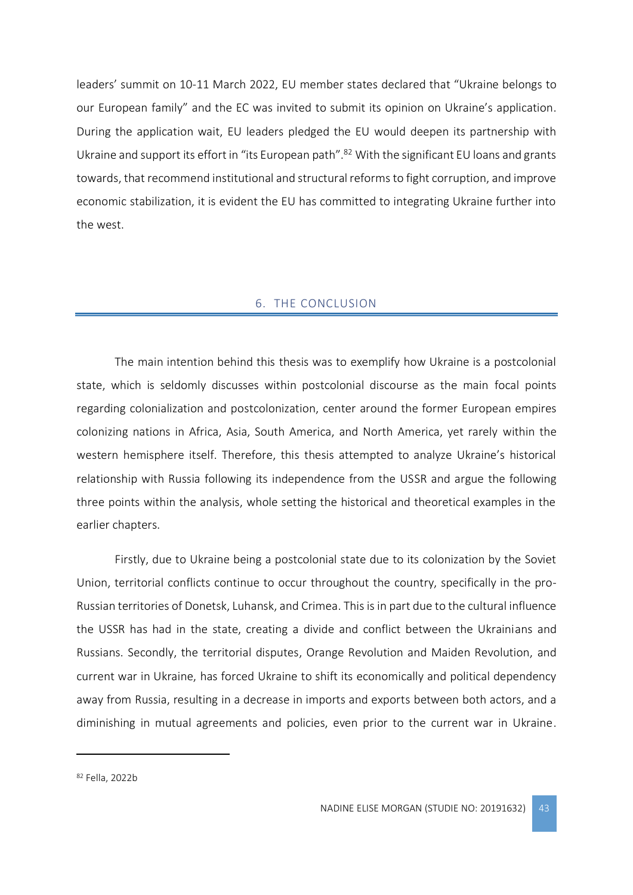leaders' summit on 10-11 March 2022, EU member states declared that "Ukraine belongs to our European family" and the EC was invited to submit its opinion on Ukraine's application. During the application wait, EU leaders pledged the EU would deepen its partnership with Ukraine and support its effort in "its European path".<sup>82</sup> With the significant EU loans and grants towards, that recommend institutional and structural reforms to fight corruption, and improve economic stabilization, it is evident the EU has committed to integrating Ukraine further into the west.

#### 6. THE CONCLUSION

<span id="page-43-0"></span>The main intention behind this thesis was to exemplify how Ukraine is a postcolonial state, which is seldomly discusses within postcolonial discourse as the main focal points regarding colonialization and postcolonization, center around the former European empires colonizing nations in Africa, Asia, South America, and North America, yet rarely within the western hemisphere itself. Therefore, this thesis attempted to analyze Ukraine's historical relationship with Russia following its independence from the USSR and argue the following three points within the analysis, whole setting the historical and theoretical examples in the earlier chapters.

Firstly, due to Ukraine being a postcolonial state due to its colonization by the Soviet Union, territorial conflicts continue to occur throughout the country, specifically in the pro-Russian territories of Donetsk, Luhansk, and Crimea. This is in part due to the cultural influence the USSR has had in the state, creating a divide and conflict between the Ukrainians and Russians. Secondly, the territorial disputes, Orange Revolution and Maiden Revolution, and current war in Ukraine, has forced Ukraine to shift its economically and political dependency away from Russia, resulting in a decrease in imports and exports between both actors, and a diminishing in mutual agreements and policies, even prior to the current war in Ukraine.

<sup>82</sup> Fella, 2022b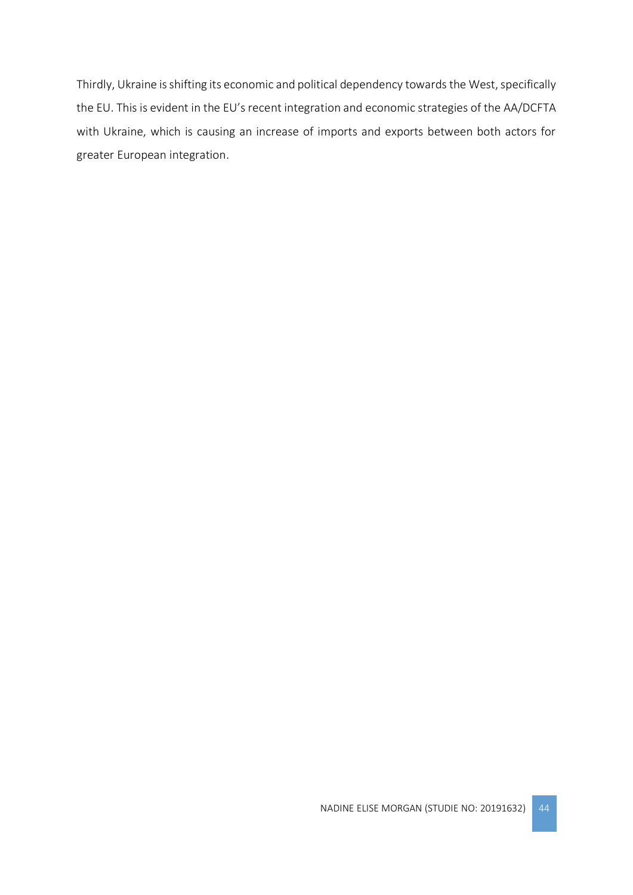Thirdly, Ukraine is shifting its economic and political dependency towards the West, specifically the EU. This is evident in the EU's recent integration and economic strategies of the AA/DCFTA with Ukraine, which is causing an increase of imports and exports between both actors for greater European integration.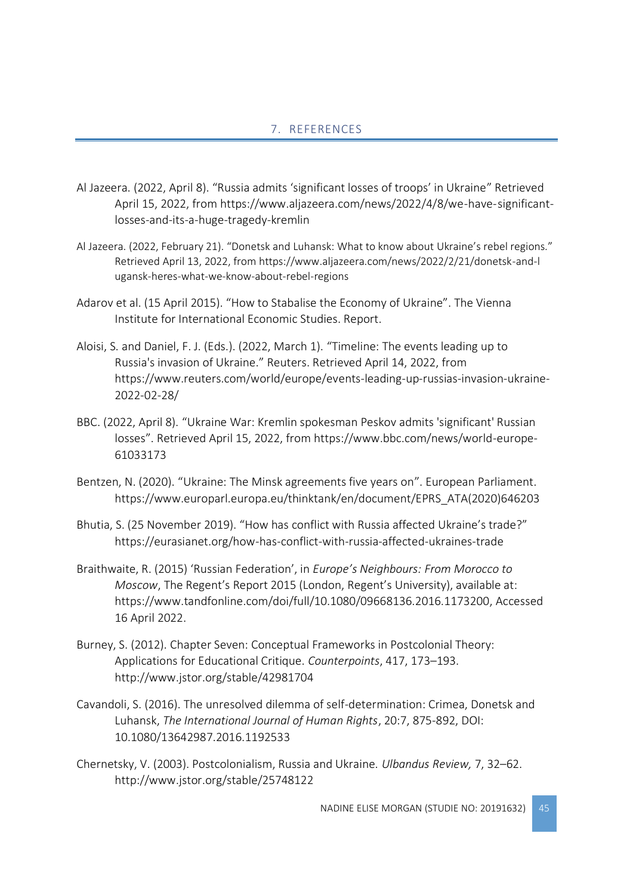### 7. REFERENCES

- <span id="page-45-0"></span>Al Jazeera. (2022, April 8). "Russia admits 'significant losses of troops' in Ukraine" Retrieved April 15, 2022, from https://www.aljazeera.com/news/2022/4/8/we-have-significantlosses-and-its-a-huge-tragedy-kremlin
- Al Jazeera. (2022, February 21). "Donetsk and Luhansk: What to know about Ukraine's rebel regions." Retrieved April 13, 2022, from https://www.aljazeera.com/news/2022/2/21/donetsk-and-l ugansk-heres-what-we-know-about-rebel-regions
- Adarov et al. (15 April 2015). "How to Stabalise the Economy of Ukraine". The Vienna Institute for International Economic Studies. Report.
- Aloisi, S. and Daniel, F. J. (Eds.). (2022, March 1). "Timeline: The events leading up to Russia's invasion of Ukraine." Reuters. Retrieved April 14, 2022, from https://www.reuters.com/world/europe/events-leading-up-russias-invasion-ukraine-2022-02-28/
- BBC. (2022, April 8). "Ukraine War: Kremlin spokesman Peskov admits 'significant' Russian losses". Retrieved April 15, 2022, from https://www.bbc.com/news/world-europe-61033173
- Bentzen, N. (2020). "Ukraine: The Minsk agreements five years on". European Parliament. https://www.europarl.europa.eu/thinktank/en/document/EPRS\_ATA(2020)646203
- Bhutia, S. (25 November 2019). "How has conflict with Russia affected Ukraine's trade?" https://eurasianet.org/how-has-conflict-with-russia-affected-ukraines-trade
- Braithwaite, R. (2015) 'Russian Federation', in *Europe's Neighbours: From Morocco to Moscow*, The Regent's Report 2015 (London, Regent's University), available at: https://www.tandfonline.com/doi/full/10.1080/09668136.2016.1173200, Accessed 16 April 2022.
- Burney, S. (2012). Chapter Seven: Conceptual Frameworks in Postcolonial Theory: Applications for Educational Critique. *Counterpoints*, 417, 173–193. http://www.jstor.org/stable/42981704
- Cavandoli, S. (2016). The unresolved dilemma of self-determination: Crimea, Donetsk and Luhansk, *The International Journal of Human Rights*, 20:7, 875-892, DOI: 10.1080/13642987.2016.1192533
- Chernetsky, V. (2003). Postcolonialism, Russia and Ukraine. *Ulbandus Review,* 7, 32–62. http://www.jstor.org/stable/25748122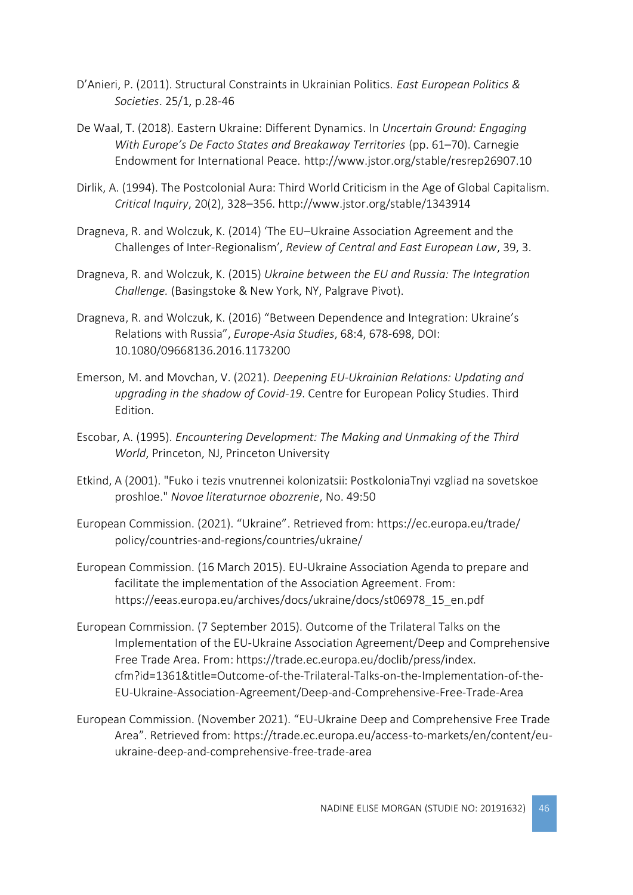- D'Anieri, P. (2011). Structural Constraints in Ukrainian Politics. *East European Politics & Societies*. 25/1, p.28-46
- De Waal, T. (2018). Eastern Ukraine: Different Dynamics. In *Uncertain Ground: Engaging With Europe's De Facto States and Breakaway Territories* (pp. 61–70). Carnegie Endowment for International Peace. http://www.jstor.org/stable/resrep26907.10
- Dirlik, A. (1994). The Postcolonial Aura: Third World Criticism in the Age of Global Capitalism. *Critical Inquiry*, 20(2), 328–356. http://www.jstor.org/stable/1343914
- Dragneva, R. and Wolczuk, K. (2014) 'The EU–Ukraine Association Agreement and the Challenges of Inter-Regionalism', *Review of Central and East European Law*, 39, 3.
- Dragneva, R. and Wolczuk, K. (2015) *Ukraine between the EU and Russia: The Integration Challenge.* (Basingstoke & New York, NY, Palgrave Pivot).
- Dragneva, R. and Wolczuk, K. (2016) "Between Dependence and Integration: Ukraine's Relations with Russia", *Europe-Asia Studies*, 68:4, 678-698, DOI: 10.1080/09668136.2016.1173200
- Emerson, M. and Movchan, V. (2021). *Deepening EU-Ukrainian Relations: Updating and upgrading in the shadow of Covid-19*. Centre for European Policy Studies. Third Edition.
- Escobar, A. (1995). *Encountering Development: The Making and Unmaking of the Third World*, Princeton, NJ, Princeton University
- Etkind, A (2001). "Fuko i tezis vnutrennei kolonizatsii: PostkoloniaTnyi vzgliad na sovetskoe proshloe." *Novoe literaturnoe obozrenie*, No. 49:50
- European Commission. (2021). "Ukraine". Retrieved from: https://ec.europa.eu/trade/ policy/countries-and-regions/countries/ukraine/
- European Commission. (16 March 2015). EU-Ukraine Association Agenda to prepare and facilitate the implementation of the Association Agreement. From: https://eeas.europa.eu/archives/docs/ukraine/docs/st06978\_15\_en.pdf
- European Commission. (7 September 2015). Outcome of the Trilateral Talks on the Implementation of the EU-Ukraine Association Agreement/Deep and Comprehensive Free Trade Area. From: https://trade.ec.europa.eu/doclib/press/index. cfm?id=1361&title=Outcome-of-the-Trilateral-Talks-on-the-Implementation-of-the-EU-Ukraine-Association-Agreement/Deep-and-Comprehensive-Free-Trade-Area
- European Commission. (November 2021). "EU-Ukraine Deep and Comprehensive Free Trade Area". Retrieved from: https://trade.ec.europa.eu/access-to-markets/en/content/euukraine-deep-and-comprehensive-free-trade-area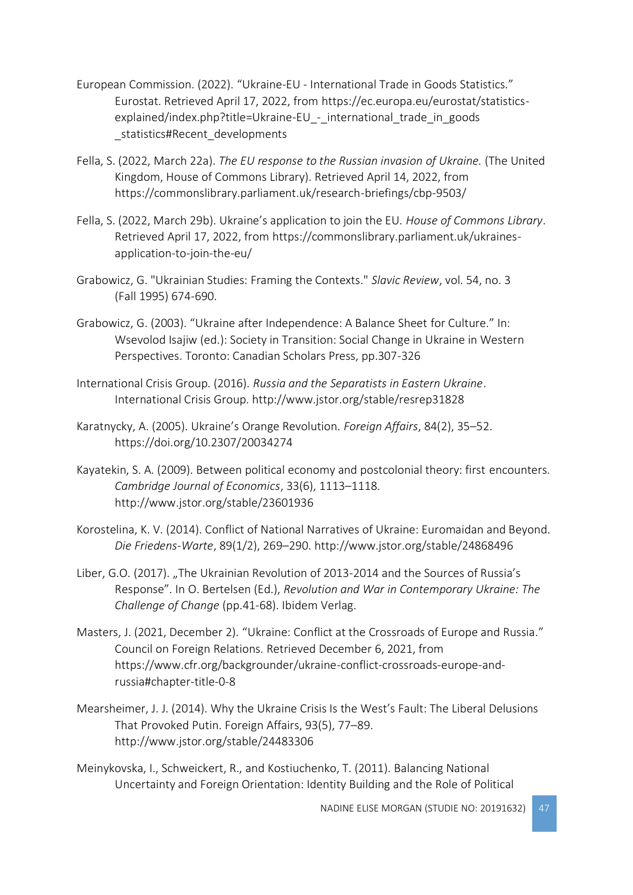- European Commission. (2022). "Ukraine-EU International Trade in Goods Statistics." Eurostat. Retrieved April 17, 2022, from https://ec.europa.eu/eurostat/statisticsexplained/index.php?title=Ukraine-EU - international trade in goods statistics#Recent\_developments
- Fella, S. (2022, March 22a). *The EU response to the Russian invasion of Ukraine.* (The United Kingdom, House of Commons Library). Retrieved April 14, 2022, from https://commonslibrary.parliament.uk/research-briefings/cbp-9503/
- Fella, S. (2022, March 29b). Ukraine's application to join the EU. *House of Commons Library*. Retrieved April 17, 2022, from https://commonslibrary.parliament.uk/ukrainesapplication-to-join-the-eu/
- Grabowicz, G. "Ukrainian Studies: Framing the Contexts." *Slavic Review*, vol. 54, no. 3 (Fall 1995) 674-690.
- Grabowicz, G. (2003). "Ukraine after Independence: A Balance Sheet for Culture." In: Wsevolod Isajiw (ed.): Society in Transition: Social Change in Ukraine in Western Perspectives. Toronto: Canadian Scholars Press, pp.307-326
- International Crisis Group. (2016). *Russia and the Separatists in Eastern Ukraine*. International Crisis Group. http://www.jstor.org/stable/resrep31828
- Karatnycky, A. (2005). Ukraine's Orange Revolution. *Foreign Affairs*, 84(2), 35–52. https://doi.org/10.2307/20034274
- Kayatekin, S. A. (2009). Between political economy and postcolonial theory: first encounters. *Cambridge Journal of Economics*, 33(6), 1113–1118. http://www.jstor.org/stable/23601936
- Korostelina, K. V. (2014). Conflict of National Narratives of Ukraine: Euromaidan and Beyond. *Die Friedens-Warte*, 89(1/2), 269–290. http://www.jstor.org/stable/24868496
- Liber, G.O. (2017). "The Ukrainian Revolution of 2013-2014 and the Sources of Russia's Response". In O. Bertelsen (Ed.), *Revolution and War in Contemporary Ukraine: The Challenge of Change* (pp.41-68). Ibidem Verlag.
- Masters, J. (2021, December 2). "Ukraine: Conflict at the Crossroads of Europe and Russia." Council on Foreign Relations. Retrieved December 6, 2021, from https://www.cfr.org/backgrounder/ukraine-conflict-crossroads-europe-andrussia#chapter-title-0-8
- Mearsheimer, J. J. (2014). Why the Ukraine Crisis Is the West's Fault: The Liberal Delusions That Provoked Putin. Foreign Affairs, 93(5), 77–89. http://www.jstor.org/stable/24483306
- Meinykovska, I., Schweickert, R., and Kostiuchenko, T. (2011). Balancing National Uncertainty and Foreign Orientation: Identity Building and the Role of Political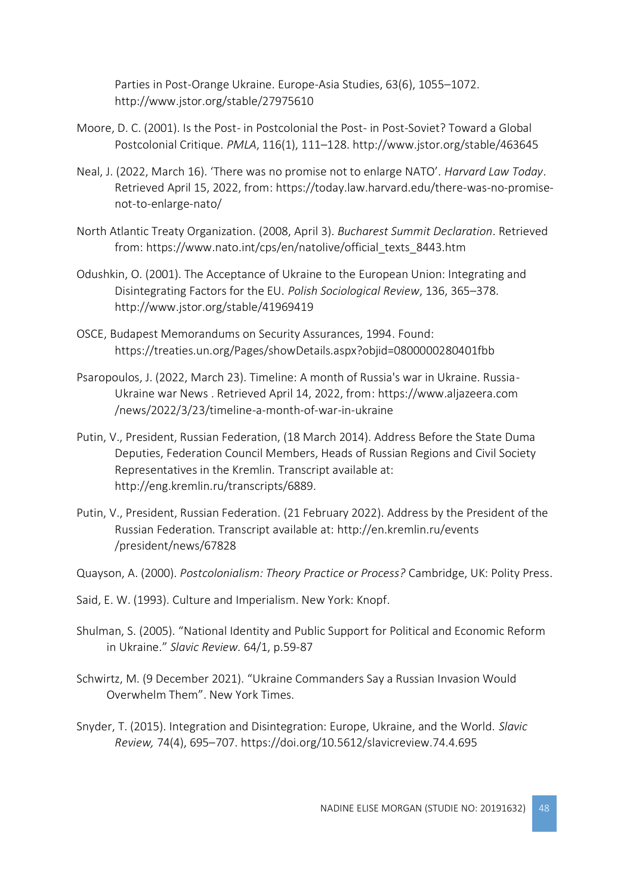Parties in Post-Orange Ukraine. Europe-Asia Studies, 63(6), 1055–1072. http://www.jstor.org/stable/27975610

- Moore, D. C. (2001). Is the Post- in Postcolonial the Post- in Post-Soviet? Toward a Global Postcolonial Critique. *PMLA*, 116(1), 111–128. http://www.jstor.org/stable/463645
- Neal, J. (2022, March 16). 'There was no promise not to enlarge NATO'. *Harvard Law Today*. Retrieved April 15, 2022, from: https://today.law.harvard.edu/there-was-no-promisenot-to-enlarge-nato/
- North Atlantic Treaty Organization. (2008, April 3). *Bucharest Summit Declaration*. Retrieved from: https://www.nato.int/cps/en/natolive/official\_texts\_8443.htm
- Odushkin, O. (2001). The Acceptance of Ukraine to the European Union: Integrating and Disintegrating Factors for the EU. *Polish Sociological Review*, 136, 365–378. http://www.jstor.org/stable/41969419
- OSCE, Budapest Memorandums on Security Assurances, 1994. Found: https://treaties.un.org/Pages/showDetails.aspx?objid=0800000280401fbb
- Psaropoulos, J. (2022, March 23). Timeline: A month of Russia's war in Ukraine. Russia-Ukraine war News . Retrieved April 14, 2022, from: https://www.aljazeera.com /news/2022/3/23/timeline-a-month-of-war-in-ukraine
- Putin, V., President, Russian Federation, (18 March 2014). Address Before the State Duma Deputies, Federation Council Members, Heads of Russian Regions and Civil Society Representatives in the Kremlin. Transcript available at: http://eng.kremlin.ru/transcripts/6889.
- Putin, V., President, Russian Federation. (21 February 2022). Address by the President of the Russian Federation. Transcript available at: http://en.kremlin.ru/events /president/news/67828
- Quayson, A. (2000). *Postcolonialism: Theory Practice or Process?* Cambridge, UK: Polity Press.
- Said, E. W. (1993). Culture and Imperialism. New York: Knopf.
- Shulman, S. (2005). "National Identity and Public Support for Political and Economic Reform in Ukraine." *Slavic Review.* 64/1, p.59-87
- Schwirtz, M. (9 December 2021). "Ukraine Commanders Say a Russian Invasion Would Overwhelm Them". New York Times.
- Snyder, T. (2015). Integration and Disintegration: Europe, Ukraine, and the World. *Slavic Review,* 74(4), 695–707. https://doi.org/10.5612/slavicreview.74.4.695